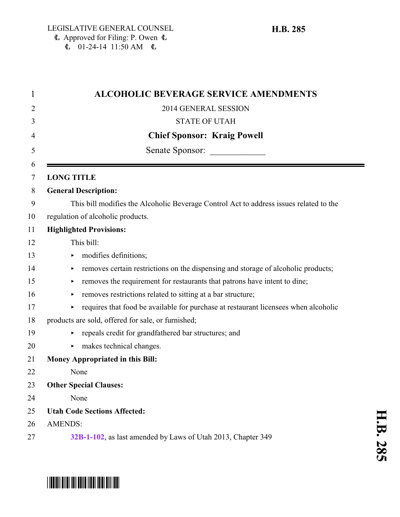| $\mathbf 1$ | <b>ALCOHOLIC BEVERAGE SERVICE AMENDMENTS</b>                                           |
|-------------|----------------------------------------------------------------------------------------|
| 2           | 2014 GENERAL SESSION                                                                   |
| 3           | <b>STATE OF UTAH</b>                                                                   |
| 4           | <b>Chief Sponsor: Kraig Powell</b>                                                     |
| 5           | Senate Sponsor:                                                                        |
| 6<br>7      | <b>LONG TITLE</b>                                                                      |
| 8           | <b>General Description:</b>                                                            |
| 9           | This bill modifies the Alcoholic Beverage Control Act to address issues related to the |
| 10          | regulation of alcoholic products.                                                      |
| 11          | <b>Highlighted Provisions:</b>                                                         |
| 12          | This bill:                                                                             |
| 13          | modifies definitions;<br>▶                                                             |
| 14          | removes certain restrictions on the dispensing and storage of alcoholic products;      |
| 15          | removes the requirement for restaurants that patrons have intent to dine;<br>▶         |
| 16          | removes restrictions related to sitting at a bar structure;<br>Þ.                      |
| 17          | requires that food be available for purchase at restaurant licensees when alcoholic    |
| 18          | products are sold, offered for sale, or furnished;                                     |
| 19          | repeals credit for grandfathered bar structures; and                                   |
| 20          | makes technical changes.                                                               |
| 21          | <b>Money Appropriated in this Bill:</b>                                                |
| 22          | None                                                                                   |
| 23          | <b>Other Special Clauses:</b>                                                          |
| 24          | None                                                                                   |
| 25          | <b>Utah Code Sections Affected:</b>                                                    |
| 26          | <b>AMENDS:</b>                                                                         |
| 27          | 32B-1-102, as last amended by Laws of Utah 2013, Chapter 349                           |

# \*HB0285\*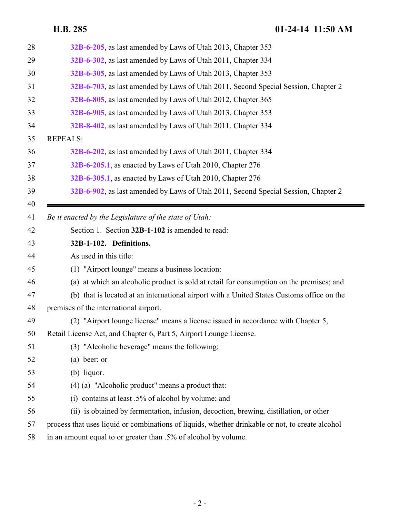<span id="page-1-0"></span>

| 28 | 32B-6-205, as last amended by Laws of Utah 2013, Chapter 353                                     |
|----|--------------------------------------------------------------------------------------------------|
| 29 | 32B-6-302, as last amended by Laws of Utah 2011, Chapter 334                                     |
| 30 | 32B-6-305, as last amended by Laws of Utah 2013, Chapter 353                                     |
| 31 | 32B-6-703, as last amended by Laws of Utah 2011, Second Special Session, Chapter 2               |
| 32 | 32B-6-805, as last amended by Laws of Utah 2012, Chapter 365                                     |
| 33 | 32B-6-905, as last amended by Laws of Utah 2013, Chapter 353                                     |
| 34 | 32B-8-402, as last amended by Laws of Utah 2011, Chapter 334                                     |
| 35 | <b>REPEALS:</b>                                                                                  |
| 36 | 32B-6-202, as last amended by Laws of Utah 2011, Chapter 334                                     |
| 37 | 32B-6-205.1, as enacted by Laws of Utah 2010, Chapter 276                                        |
| 38 | 32B-6-305.1, as enacted by Laws of Utah 2010, Chapter 276                                        |
| 39 | 32B-6-902, as last amended by Laws of Utah 2011, Second Special Session, Chapter 2               |
| 40 |                                                                                                  |
| 41 | Be it enacted by the Legislature of the state of Utah:                                           |
| 42 | Section 1. Section 32B-1-102 is amended to read:                                                 |
| 43 | 32B-1-102. Definitions.                                                                          |
| 44 | As used in this title:                                                                           |
| 45 | (1) "Airport lounge" means a business location:                                                  |
| 46 | (a) at which an alcoholic product is sold at retail for consumption on the premises; and         |
| 47 | (b) that is located at an international airport with a United States Customs office on the       |
| 48 | premises of the international airport.                                                           |
| 49 | (2) "Airport lounge license" means a license issued in accordance with Chapter 5,                |
| 50 | Retail License Act, and Chapter 6, Part 5, Airport Lounge License.                               |
| 51 | (3) "Alcoholic beverage" means the following:                                                    |
| 52 | $(a)$ beer; or                                                                                   |
| 53 | $(b)$ liquor.                                                                                    |
| 54 | $(4)$ (a) "Alcoholic product" means a product that:                                              |
| 55 | (i) contains at least $.5\%$ of alcohol by volume; and                                           |
| 56 | (ii) is obtained by fermentation, infusion, decoction, brewing, distillation, or other           |
| 57 | process that uses liquid or combinations of liquids, whether drinkable or not, to create alcohol |
| 58 | in an amount equal to or greater than .5% of alcohol by volume.                                  |
|    |                                                                                                  |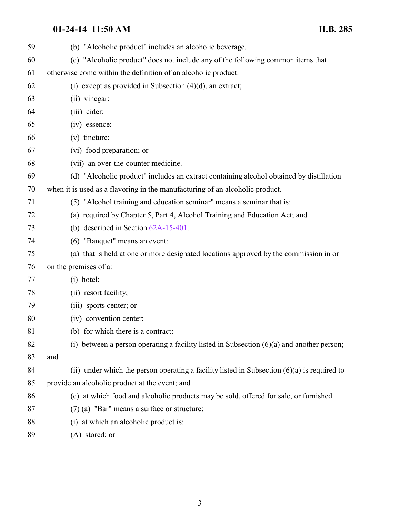| 59 | (b) "Alcoholic product" includes an alcoholic beverage.                                       |
|----|-----------------------------------------------------------------------------------------------|
| 60 | (c) "Alcoholic product" does not include any of the following common items that               |
| 61 | otherwise come within the definition of an alcoholic product:                                 |
| 62 | (i) except as provided in Subsection $(4)(d)$ , an extract;                                   |
| 63 | (ii) vinegar;                                                                                 |
| 64 | (iii) cider;                                                                                  |
| 65 | (iv) essence;                                                                                 |
| 66 | $(v)$ tincture;                                                                               |
| 67 | (vi) food preparation; or                                                                     |
| 68 | (vii) an over-the-counter medicine.                                                           |
| 69 | (d) "Alcoholic product" includes an extract containing alcohol obtained by distillation       |
| 70 | when it is used as a flavoring in the manufacturing of an alcoholic product.                  |
| 71 | (5) "Alcohol training and education seminar" means a seminar that is:                         |
| 72 | (a) required by Chapter 5, Part 4, Alcohol Training and Education Act; and                    |
| 73 | (b) described in Section $62A-15-401$ .                                                       |
| 74 | (6) "Banquet" means an event:                                                                 |
| 75 | (a) that is held at one or more designated locations approved by the commission in or         |
| 76 | on the premises of a:                                                                         |
| 77 | $(i)$ hotel;                                                                                  |
| 78 | (ii) resort facility;                                                                         |
| 79 | (iii) sports center; or                                                                       |
| 80 | (iv) convention center;                                                                       |
| 81 | (b) for which there is a contract:                                                            |
| 82 | (i) between a person operating a facility listed in Subsection $(6)(a)$ and another person;   |
| 83 | and                                                                                           |
| 84 | (ii) under which the person operating a facility listed in Subsection $(6)(a)$ is required to |
| 85 | provide an alcoholic product at the event; and                                                |
| 86 | (c) at which food and alcoholic products may be sold, offered for sale, or furnished.         |
| 87 | $(7)$ (a) "Bar" means a surface or structure:                                                 |
| 88 | (i) at which an alcoholic product is:                                                         |
| 89 | (A) stored; or                                                                                |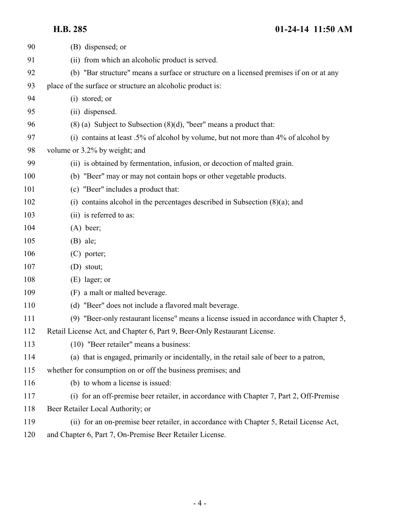| 90  | (B) dispensed; or                                                                       |
|-----|-----------------------------------------------------------------------------------------|
| 91  | (ii) from which an alcoholic product is served.                                         |
| 92  | (b) "Bar structure" means a surface or structure on a licensed premises if on or at any |
| 93  | place of the surface or structure an alcoholic product is:                              |
| 94  | (i) stored; or                                                                          |
| 95  | (ii) dispensed.                                                                         |
| 96  | $(8)$ (a) Subject to Subsection $(8)(d)$ , "beer" means a product that:                 |
| 97  | (i) contains at least .5% of alcohol by volume, but not more than 4% of alcohol by      |
| 98  | volume or 3.2% by weight; and                                                           |
| 99  | (ii) is obtained by fermentation, infusion, or decoction of malted grain.               |
| 100 | (b) "Beer" may or may not contain hops or other vegetable products.                     |
| 101 | (c) "Beer" includes a product that:                                                     |
| 102 | (i) contains alcohol in the percentages described in Subsection $(8)(a)$ ; and          |
| 103 | (ii) is referred to as:                                                                 |
| 104 | $(A)$ beer;                                                                             |
| 105 | $(B)$ ale;                                                                              |
| 106 | $(C)$ porter;                                                                           |
| 107 | (D) stout;                                                                              |
| 108 | $(E)$ lager; or                                                                         |
| 109 | (F) a malt or malted beverage.                                                          |
| 110 | (d) "Beer" does not include a flavored malt beverage.                                   |
| 111 | (9) "Beer-only restaurant license" means a license issued in accordance with Chapter 5, |
| 112 | Retail License Act, and Chapter 6, Part 9, Beer-Only Restaurant License.                |
| 113 | (10) "Beer retailer" means a business:                                                  |
| 114 | (a) that is engaged, primarily or incidentally, in the retail sale of beer to a patron, |
| 115 | whether for consumption on or off the business premises; and                            |
| 116 | (b) to whom a license is issued:                                                        |
| 117 | (i) for an off-premise beer retailer, in accordance with Chapter 7, Part 2, Off-Premise |
| 118 | Beer Retailer Local Authority; or                                                       |
| 119 | (ii) for an on-premise beer retailer, in accordance with Chapter 5, Retail License Act, |
| 120 | and Chapter 6, Part 7, On-Premise Beer Retailer License.                                |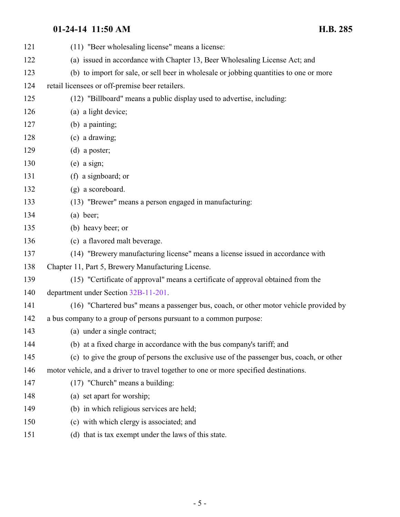| 121 | (11) "Beer wholesaling license" means a license:                                         |
|-----|------------------------------------------------------------------------------------------|
| 122 | (a) issued in accordance with Chapter 13, Beer Wholesaling License Act; and              |
| 123 | (b) to import for sale, or sell beer in wholesale or jobbing quantities to one or more   |
| 124 | retail licensees or off-premise beer retailers.                                          |
| 125 | (12) "Billboard" means a public display used to advertise, including:                    |
| 126 | (a) a light device;                                                                      |
| 127 | (b) a painting;                                                                          |
| 128 | (c) a drawing;                                                                           |
| 129 | $(d)$ a poster;                                                                          |
| 130 | $(e)$ a sign;                                                                            |
| 131 | (f) a signboard; or                                                                      |
| 132 | (g) a scoreboard.                                                                        |
| 133 | (13) "Brewer" means a person engaged in manufacturing:                                   |
| 134 | $(a)$ beer;                                                                              |
| 135 | (b) heavy beer; or                                                                       |
| 136 | (c) a flavored malt beverage.                                                            |
| 137 | (14) "Brewery manufacturing license" means a license issued in accordance with           |
| 138 | Chapter 11, Part 5, Brewery Manufacturing License.                                       |
| 139 | (15) "Certificate of approval" means a certificate of approval obtained from the         |
| 140 | department under Section 32B-11-201.                                                     |
| 141 | (16) "Chartered bus" means a passenger bus, coach, or other motor vehicle provided by    |
| 142 | a bus company to a group of persons pursuant to a common purpose:                        |
| 143 | (a) under a single contract;                                                             |
| 144 | (b) at a fixed charge in accordance with the bus company's tariff; and                   |
| 145 | (c) to give the group of persons the exclusive use of the passenger bus, coach, or other |
| 146 | motor vehicle, and a driver to travel together to one or more specified destinations.    |
| 147 | $(17)$ "Church" means a building:                                                        |
| 148 | (a) set apart for worship;                                                               |
| 149 | (b) in which religious services are held;                                                |
| 150 | (c) with which clergy is associated; and                                                 |
| 151 | (d) that is tax exempt under the laws of this state.                                     |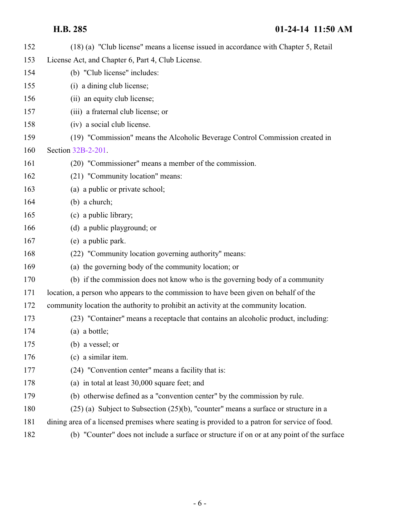| 152 | (18) (a) "Club license" means a license issued in accordance with Chapter 5, Retail           |
|-----|-----------------------------------------------------------------------------------------------|
| 153 | License Act, and Chapter 6, Part 4, Club License.                                             |
| 154 | (b) "Club license" includes:                                                                  |
| 155 | (i) a dining club license;                                                                    |
| 156 | (ii) an equity club license;                                                                  |
| 157 | (iii) a fraternal club license; or                                                            |
| 158 | (iv) a social club license.                                                                   |
| 159 | (19) "Commission" means the Alcoholic Beverage Control Commission created in                  |
| 160 | Section 32B-2-201.                                                                            |
| 161 | (20) "Commissioner" means a member of the commission.                                         |
| 162 | (21) "Community location" means:                                                              |
| 163 | (a) a public or private school;                                                               |
| 164 | $(b)$ a church;                                                                               |
| 165 | (c) a public library;                                                                         |
| 166 | (d) a public playground; or                                                                   |
| 167 | (e) a public park.                                                                            |
| 168 | (22) "Community location governing authority" means:                                          |
| 169 | (a) the governing body of the community location; or                                          |
| 170 | (b) if the commission does not know who is the governing body of a community                  |
| 171 | location, a person who appears to the commission to have been given on behalf of the          |
| 172 | community location the authority to prohibit an activity at the community location.           |
| 173 | (23) "Container" means a receptacle that contains an alcoholic product, including:            |
| 174 | (a) a bottle;                                                                                 |
| 175 | (b) a vessel; or                                                                              |
| 176 | (c) a similar item.                                                                           |
| 177 | (24) "Convention center" means a facility that is:                                            |
| 178 | (a) in total at least 30,000 square feet; and                                                 |
| 179 | (b) otherwise defined as a "convention center" by the commission by rule.                     |
| 180 | $(25)$ (a) Subject to Subsection $(25)(b)$ , "counter" means a surface or structure in a      |
| 181 | dining area of a licensed premises where seating is provided to a patron for service of food. |
| 182 | (b) "Counter" does not include a surface or structure if on or at any point of the surface    |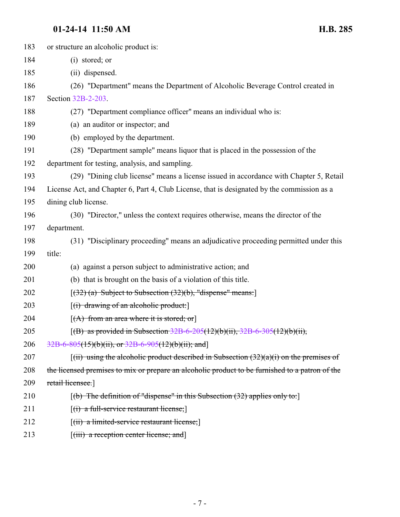| 183 | or structure an alcoholic product is:                                                                                                        |
|-----|----------------------------------------------------------------------------------------------------------------------------------------------|
| 184 | (i) stored; or                                                                                                                               |
| 185 | (ii) dispensed.                                                                                                                              |
| 186 | (26) "Department" means the Department of Alcoholic Beverage Control created in                                                              |
| 187 | Section 32B-2-203.                                                                                                                           |
| 188 | (27) "Department compliance officer" means an individual who is:                                                                             |
| 189 | (a) an auditor or inspector; and                                                                                                             |
| 190 | (b) employed by the department.                                                                                                              |
| 191 | (28) "Department sample" means liquor that is placed in the possession of the                                                                |
| 192 | department for testing, analysis, and sampling.                                                                                              |
| 193 | (29) "Dining club license" means a license issued in accordance with Chapter 5, Retail                                                       |
| 194 | License Act, and Chapter 6, Part 4, Club License, that is designated by the commission as a                                                  |
| 195 | dining club license.                                                                                                                         |
| 196 | (30) "Director," unless the context requires otherwise, means the director of the                                                            |
| 197 | department.                                                                                                                                  |
| 198 | (31) "Disciplinary proceeding" means an adjudicative proceeding permitted under this                                                         |
| 199 | title:                                                                                                                                       |
| 200 | (a) against a person subject to administrative action; and                                                                                   |
| 201 | (b) that is brought on the basis of a violation of this title.                                                                               |
| 202 | [(32) (a) Subject to Subsection (32)(b), "dispense" means:]                                                                                  |
| 203 | $[(i)$ drawing of an alcoholic product:                                                                                                      |
| 204 | $[(A)$ from an area where it is stored; or                                                                                                   |
| 205 | [(B) as provided in Subsection $32B-6-205(12)(b)(ii)$ , $32B-6-305(12)(b)(ii)$ ,                                                             |
| 206 | $32B-6-805(15)(b)(ii)$ , or $32B-6-905(12)(b)(ii)$ ; and                                                                                     |
| 207 | $\left[\frac{1}{11}\right]$ using the alcoholic product described in Subsection $\left(32\right)\left(\frac{1}{1}\right)$ on the premises of |
| 208 | the licensed premises to mix or prepare an alcoholic product to be furnished to a patron of the                                              |
| 209 | retail licensee.                                                                                                                             |
| 210 | $[(b)$ The definition of "dispense" in this Subsection (32) applies only to:                                                                 |
| 211 | $[(i)$ a full-service restaurant license;                                                                                                    |
| 212 | $\left[\left(\text{iii}\right)$ a limited-service restaurant license;                                                                        |
|     |                                                                                                                                              |

213 [(iii) a reception center license; and]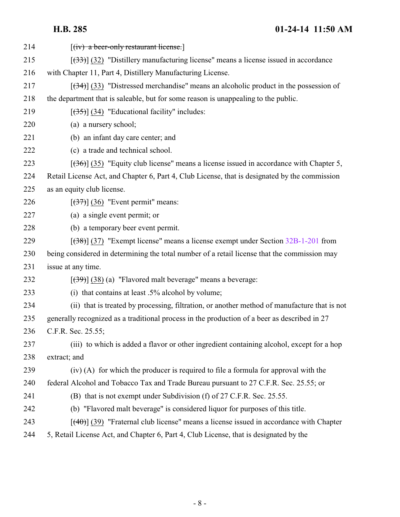| 214 | $[(iv)$ a beer-only restaurant license.                                                       |
|-----|-----------------------------------------------------------------------------------------------|
| 215 | $[333]$ (32) "Distillery manufacturing license" means a license issued in accordance          |
| 216 | with Chapter 11, Part 4, Distillery Manufacturing License.                                    |
| 217 | $[34]$ (33) "Distressed merchandise" means an alcoholic product in the possession of          |
| 218 | the department that is saleable, but for some reason is unappealing to the public.            |
| 219 | $[35]$ (34) "Educational facility" includes:                                                  |
| 220 | (a) a nursery school;                                                                         |
| 221 | (b) an infant day care center; and                                                            |
| 222 | (c) a trade and technical school.                                                             |
| 223 | $[ (36) ]$ (35) "Equity club license" means a license issued in accordance with Chapter 5,    |
| 224 | Retail License Act, and Chapter 6, Part 4, Club License, that is designated by the commission |
| 225 | as an equity club license.                                                                    |
| 226 | $[\left(37\right)]$ (36) "Event permit" means:                                                |
| 227 | (a) a single event permit; or                                                                 |
| 228 | (b) a temporary beer event permit.                                                            |
| 229 | $[38]$ (37) "Exempt license" means a license exempt under Section 32B-1-201 from              |
| 230 | being considered in determining the total number of a retail license that the commission may  |
| 231 | issue at any time.                                                                            |
| 232 | $[39]$ (38) (a) "Flavored malt beverage" means a beverage:                                    |
| 233 | (i) that contains at least .5% alcohol by volume;                                             |
| 234 | (ii) that is treated by processing, filtration, or another method of manufacture that is not  |
| 235 | generally recognized as a traditional process in the production of a beer as described in 27  |
| 236 | C.F.R. Sec. 25.55;                                                                            |
| 237 | (iii) to which is added a flavor or other ingredient containing alcohol, except for a hop     |
| 238 | extract; and                                                                                  |
| 239 | (iv) (A) for which the producer is required to file a formula for approval with the           |
| 240 | federal Alcohol and Tobacco Tax and Trade Bureau pursuant to 27 C.F.R. Sec. 25.55; or         |
| 241 | (B) that is not exempt under Subdivision (f) of 27 C.F.R. Sec. 25.55.                         |
| 242 | (b) "Flavored malt beverage" is considered liquor for purposes of this title.                 |
| 243 | $[$ (40)] (39) "Fraternal club license" means a license issued in accordance with Chapter     |
| 244 | 5, Retail License Act, and Chapter 6, Part 4, Club License, that is designated by the         |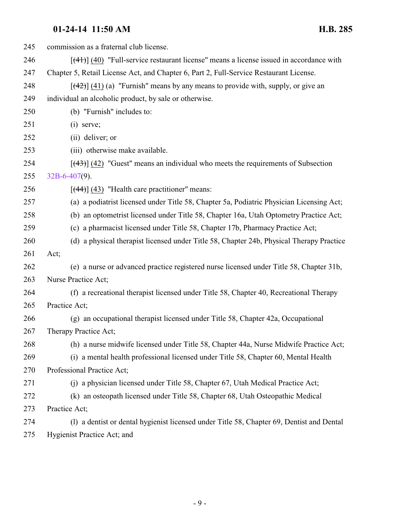| 245 | commission as a fraternal club license.                                                    |
|-----|--------------------------------------------------------------------------------------------|
| 246 | $[$ (41)] (40) "Full-service restaurant license" means a license issued in accordance with |
| 247 | Chapter 5, Retail License Act, and Chapter 6, Part 2, Full-Service Restaurant License.     |
| 248 | $[$ (42)] (41) (a) "Furnish" means by any means to provide with, supply, or give an        |
| 249 | individual an alcoholic product, by sale or otherwise.                                     |
| 250 | (b) "Furnish" includes to:                                                                 |
| 251 | $(i)$ serve;                                                                               |
| 252 | (ii) deliver; or                                                                           |
| 253 | (iii) otherwise make available.                                                            |
| 254 | $[$ (43)] (42) "Guest" means an individual who meets the requirements of Subsection        |
| 255 | $32B-6-407(9)$ .                                                                           |
| 256 | $[$ (44)] (43) "Health care practitioner" means:                                           |
| 257 | (a) a podiatrist licensed under Title 58, Chapter 5a, Podiatric Physician Licensing Act;   |
| 258 | (b) an optometrist licensed under Title 58, Chapter 16a, Utah Optometry Practice Act;      |
| 259 | (c) a pharmacist licensed under Title 58, Chapter 17b, Pharmacy Practice Act;              |
| 260 | (d) a physical therapist licensed under Title 58, Chapter 24b, Physical Therapy Practice   |
| 261 | Act;                                                                                       |
| 262 | (e) a nurse or advanced practice registered nurse licensed under Title 58, Chapter 31b,    |
| 263 | Nurse Practice Act;                                                                        |
| 264 | (f) a recreational therapist licensed under Title 58, Chapter 40, Recreational Therapy     |
| 265 | Practice Act;                                                                              |
| 266 | (g) an occupational therapist licensed under Title 58, Chapter 42a, Occupational           |
| 267 | Therapy Practice Act;                                                                      |
| 268 | (h) a nurse midwife licensed under Title 58, Chapter 44a, Nurse Midwife Practice Act;      |
| 269 | (i) a mental health professional licensed under Title 58, Chapter 60, Mental Health        |
| 270 | Professional Practice Act;                                                                 |
| 271 | (j) a physician licensed under Title 58, Chapter 67, Utah Medical Practice Act;            |
| 272 | (k) an osteopath licensed under Title 58, Chapter 68, Utah Osteopathic Medical             |
| 273 | Practice Act;                                                                              |
| 274 | (1) a dentist or dental hygienist licensed under Title 58, Chapter 69, Dentist and Dental  |
|     |                                                                                            |

Hygienist Practice Act; and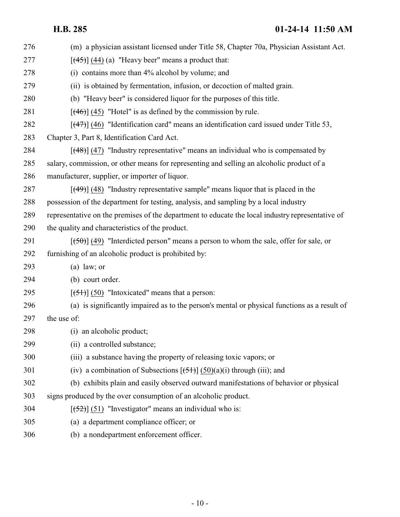| 276 | (m) a physician assistant licensed under Title 58, Chapter 70a, Physician Assistant Act.         |
|-----|--------------------------------------------------------------------------------------------------|
| 277 | $[ (45) ]$ (44) (a) "Heavy beer" means a product that:                                           |
| 278 | (i) contains more than 4% alcohol by volume; and                                                 |
| 279 | (ii) is obtained by fermentation, infusion, or decoction of malted grain.                        |
| 280 | (b) "Heavy beer" is considered liquor for the purposes of this title.                            |
| 281 | $[$ (46)] (45) "Hotel" is as defined by the commission by rule.                                  |
| 282 | $[$ (47) $]$ (46) "Identification card" means an identification card issued under Title 53,      |
| 283 | Chapter 3, Part 8, Identification Card Act.                                                      |
| 284 | $[$ (48)] (47) "Industry representative" means an individual who is compensated by               |
| 285 | salary, commission, or other means for representing and selling an alcoholic product of a        |
| 286 | manufacturer, supplier, or importer of liquor.                                                   |
| 287 | $[$ (49)] (48) "Industry representative sample" means liquor that is placed in the               |
| 288 | possession of the department for testing, analysis, and sampling by a local industry             |
| 289 | representative on the premises of the department to educate the local industry representative of |
| 290 | the quality and characteristics of the product.                                                  |
| 291 | $[50]$ (49) "Interdicted person" means a person to whom the sale, offer for sale, or             |
| 292 | furnishing of an alcoholic product is prohibited by:                                             |
| 293 | $(a)$ law; or                                                                                    |
| 294 | (b) court order.                                                                                 |
| 295 | $[ (51) ] (50)$ "Intoxicated" means that a person:                                               |
| 296 | (a) is significantly impaired as to the person's mental or physical functions as a result of     |
| 297 | the use of:                                                                                      |
| 298 | (i) an alcoholic product;                                                                        |
| 299 | (ii) a controlled substance;                                                                     |
| 300 | (iii) a substance having the property of releasing toxic vapors; or                              |
| 301 | (iv) a combination of Subsections $[\frac{51}{3}]$ $\frac{50}{a}$ (i) through (iii); and         |
| 302 | (b) exhibits plain and easily observed outward manifestations of behavior or physical            |
| 303 | signs produced by the over consumption of an alcoholic product.                                  |
| 304 | $[52]$ (51) "Investigator" means an individual who is:                                           |
| 305 | (a) a department compliance officer; or                                                          |
| 306 | (b) a nondepartment enforcement officer.                                                         |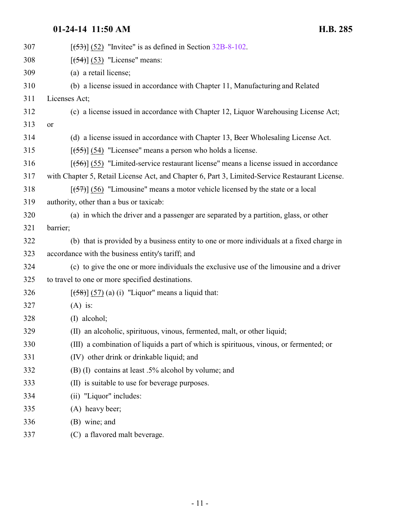| 307 | $[ (53) ] (52)$ "Invitee" is as defined in Section 32B-8-102.                                  |
|-----|------------------------------------------------------------------------------------------------|
| 308 | $[ (54) ] (53)$ "License" means:                                                               |
| 309 | (a) a retail license;                                                                          |
| 310 | (b) a license issued in accordance with Chapter 11, Manufacturing and Related                  |
| 311 | Licenses Act;                                                                                  |
| 312 | (c) a license issued in accordance with Chapter 12, Liquor Warehousing License Act;            |
| 313 | or                                                                                             |
| 314 | (d) a license issued in accordance with Chapter 13, Beer Wholesaling License Act.              |
| 315 | $[ (55) ] (54)$ "Licensee" means a person who holds a license.                                 |
| 316 | $[56]$ (55) "Limited-service restaurant license" means a license issued in accordance          |
| 317 | with Chapter 5, Retail License Act, and Chapter 6, Part 3, Limited-Service Restaurant License. |
| 318 | $[57]$ (56) "Limousine" means a motor vehicle licensed by the state or a local                 |
| 319 | authority, other than a bus or taxicab:                                                        |
| 320 | (a) in which the driver and a passenger are separated by a partition, glass, or other          |
| 321 | barrier;                                                                                       |
| 322 | (b) that is provided by a business entity to one or more individuals at a fixed charge in      |
| 323 | accordance with the business entity's tariff; and                                              |
| 324 | (c) to give the one or more individuals the exclusive use of the limousine and a driver        |
| 325 | to travel to one or more specified destinations.                                               |
| 326 | $[58]$ (57) (a) (i) "Liquor" means a liquid that:                                              |
| 327 | $(A)$ is:                                                                                      |
| 328 | (I) alcohol;                                                                                   |
| 329 | (II) an alcoholic, spirituous, vinous, fermented, malt, or other liquid;                       |
| 330 | (III) a combination of liquids a part of which is spirituous, vinous, or fermented; or         |
| 331 | (IV) other drink or drinkable liquid; and                                                      |
| 332 | (B) (I) contains at least .5% alcohol by volume; and                                           |
| 333 | (II) is suitable to use for beverage purposes.                                                 |
| 334 | (ii) "Liquor" includes:                                                                        |
| 335 | (A) heavy beer;                                                                                |
| 336 | (B) wine; and                                                                                  |
| 337 | (C) a flavored malt beverage.                                                                  |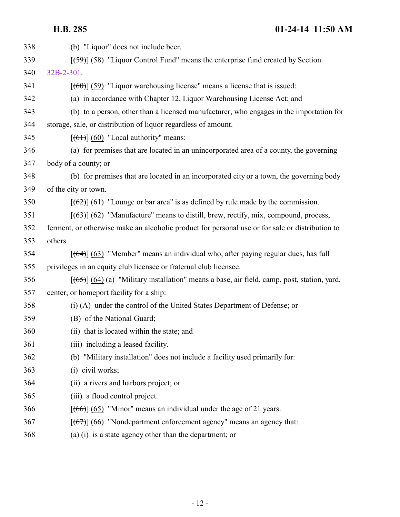| 338 | (b) "Liquor" does not include beer.                                                             |
|-----|-------------------------------------------------------------------------------------------------|
| 339 | $[59]$ (58) "Liquor Control Fund" means the enterprise fund created by Section                  |
| 340 | 32B-2-301.                                                                                      |
| 341 | $[$ (60)] (59) "Liquor warehousing license" means a license that is issued:                     |
| 342 | (a) in accordance with Chapter 12, Liquor Warehousing License Act; and                          |
| 343 | (b) to a person, other than a licensed manufacturer, who engages in the importation for         |
| 344 | storage, sale, or distribution of liquor regardless of amount.                                  |
| 345 | $[ (61) ] (60)$ "Local authority" means:                                                        |
| 346 | (a) for premises that are located in an unincorporated area of a county, the governing          |
| 347 | body of a county; or                                                                            |
| 348 | (b) for premises that are located in an incorporated city or a town, the governing body         |
| 349 | of the city or town.                                                                            |
| 350 | $[62]$ (61) "Lounge or bar area" is as defined by rule made by the commission.                  |
| 351 | $[ (63) ]$ (62) "Manufacture" means to distill, brew, rectify, mix, compound, process,          |
| 352 | ferment, or otherwise make an alcoholic product for personal use or for sale or distribution to |
| 353 | others.                                                                                         |
| 354 | $[ (64) ] (63)$ "Member" means an individual who, after paying regular dues, has full           |
| 355 | privileges in an equity club licensee or fraternal club licensee.                               |
| 356 | $[ (65) ] (64)$ (a) "Military installation" means a base, air field, camp, post, station, yard, |
| 357 | center, or homeport facility for a ship:                                                        |
| 358 | (i) (A) under the control of the United States Department of Defense; or                        |
| 359 | (B) of the National Guard;                                                                      |
| 360 | (ii) that is located within the state; and                                                      |
| 361 | (iii) including a leased facility.                                                              |
| 362 | (b) "Military installation" does not include a facility used primarily for:                     |
| 363 | (i) civil works;                                                                                |
| 364 | (ii) a rivers and harbors project; or                                                           |
| 365 | (iii) a flood control project.                                                                  |
| 366 | $[ (66) ] (65)$ "Minor" means an individual under the age of 21 years.                          |
| 367 | $[ (67) ] (66)$ "Nondepartment enforcement agency" means an agency that:                        |
| 368 | (a) (i) is a state agency other than the department; or                                         |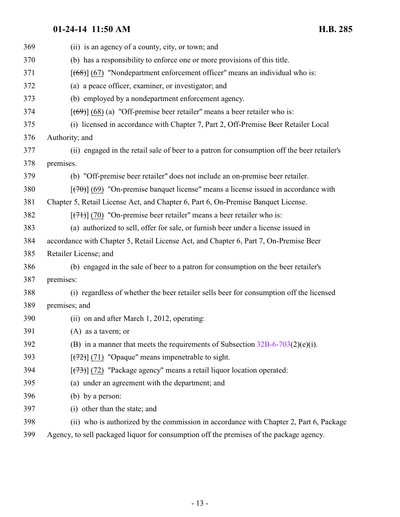| 369 | (ii) is an agency of a county, city, or town; and                                           |
|-----|---------------------------------------------------------------------------------------------|
| 370 | (b) has a responsibility to enforce one or more provisions of this title.                   |
| 371 | $[ (68) ] (67)$ "Nondepartment enforcement officer" means an individual who is:             |
| 372 | (a) a peace officer, examiner, or investigator; and                                         |
| 373 | (b) employed by a nondepartment enforcement agency.                                         |
| 374 | $[ (69) ] (68)$ (a) "Off-premise beer retailer" means a beer retailer who is:               |
| 375 | (i) licensed in accordance with Chapter 7, Part 2, Off-Premise Beer Retailer Local          |
| 376 | Authority; and                                                                              |
| 377 | (ii) engaged in the retail sale of beer to a patron for consumption off the beer retailer's |
| 378 | premises.                                                                                   |
| 379 | (b) "Off-premise beer retailer" does not include an on-premise beer retailer.               |
| 380 | $[$ (470)] (69) "On-premise banquet license" means a license issued in accordance with      |
| 381 | Chapter 5, Retail License Act, and Chapter 6, Part 6, On-Premise Banquet License.           |
| 382 | $[ (71) ] (70)$ "On-premise beer retailer" means a beer retailer who is:                    |
| 383 | (a) authorized to sell, offer for sale, or furnish beer under a license issued in           |
| 384 | accordance with Chapter 5, Retail License Act, and Chapter 6, Part 7, On-Premise Beer       |
| 385 | Retailer License; and                                                                       |
| 386 | (b) engaged in the sale of beer to a patron for consumption on the beer retailer's          |
| 387 | premises:                                                                                   |
| 388 | (i) regardless of whether the beer retailer sells beer for consumption off the licensed     |
| 389 | premises; and                                                                               |
| 390 | (ii) on and after March 1, 2012, operating:                                                 |
| 391 | $(A)$ as a tavern; or                                                                       |
| 392 | (B) in a manner that meets the requirements of Subsection $32B-6-703(2)(e)(i)$ .            |
| 393 | $[ (72) ]$ (71) "Opaque" means impenetrable to sight.                                       |
| 394 | $[$ (73) $]$ (72) "Package agency" means a retail liquor location operated:                 |
| 395 | (a) under an agreement with the department; and                                             |
| 396 | (b) by a person:                                                                            |
| 397 | (i) other than the state; and                                                               |
| 398 | (ii) who is authorized by the commission in accordance with Chapter 2, Part 6, Package      |
|     |                                                                                             |

Agency, to sell packaged liquor for consumption off the premises of the package agency.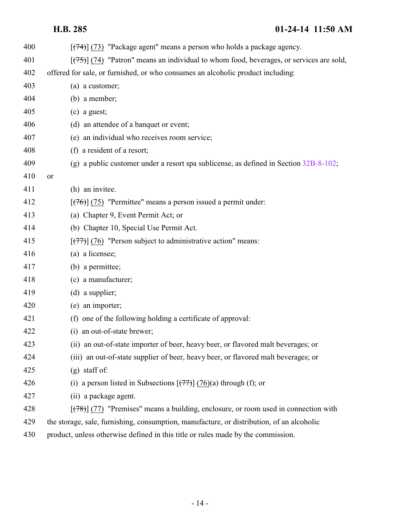| 400 | $\left[\frac{(74)}{(73)}\right]$ "Package agent" means a person who holds a package agency.            |
|-----|--------------------------------------------------------------------------------------------------------|
| 401 | $[\frac{(75)}{(75)}]$ (74) "Patron" means an individual to whom food, beverages, or services are sold, |
| 402 | offered for sale, or furnished, or who consumes an alcoholic product including:                        |
| 403 | (a) a customer;                                                                                        |
| 404 | $(b)$ a member;                                                                                        |
| 405 | $(c)$ a guest;                                                                                         |
| 406 | (d) an attendee of a banquet or event;                                                                 |
| 407 | (e) an individual who receives room service;                                                           |
| 408 | (f) a resident of a resort;                                                                            |
| 409 | (g) a public customer under a resort spa sublicense, as defined in Section $32B-8-102$ ;               |
| 410 | or                                                                                                     |
| 411 | (h) an invitee.                                                                                        |
| 412 | $[ (76) ]$ (75) "Permittee" means a person issued a permit under:                                      |
| 413 | (a) Chapter 9, Event Permit Act; or                                                                    |
| 414 | (b) Chapter 10, Special Use Permit Act.                                                                |
| 415 | $[\frac{(77)}{(76)}]$ "Person subject to administrative action" means:                                 |
| 416 | (a) a licensee;                                                                                        |
| 417 | (b) a permittee;                                                                                       |
| 418 | (c) a manufacturer;                                                                                    |
| 419 | $(d)$ a supplier;                                                                                      |
| 420 | (e) an importer;                                                                                       |
| 421 | (f) one of the following holding a certificate of approval:                                            |
| 422 | (i) an out-of-state brewer;                                                                            |
| 423 | (ii) an out-of-state importer of beer, heavy beer, or flavored malt beverages; or                      |
| 424 | (iii) an out-of-state supplier of beer, heavy beer, or flavored malt beverages; or                     |
| 425 | $(g)$ staff of:                                                                                        |
| 426 | (i) a person listed in Subsections $\left[\left(77\right)\right]$ (76)(a) through (f); or              |
| 427 | (ii) a package agent.                                                                                  |
| 428 | $[ (78) ]$ (77) "Premises" means a building, enclosure, or room used in connection with                |
| 429 | the storage, sale, furnishing, consumption, manufacture, or distribution, of an alcoholic              |
| 430 | product, unless otherwise defined in this title or rules made by the commission.                       |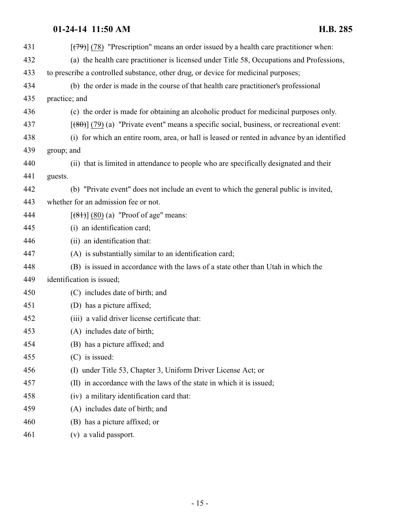| 431 | $[$ (79) $]$ (78) "Prescription" means an order issued by a health care practitioner when:   |
|-----|----------------------------------------------------------------------------------------------|
| 432 | (a) the health care practitioner is licensed under Title 58, Occupations and Professions,    |
| 433 | to prescribe a controlled substance, other drug, or device for medicinal purposes;           |
| 434 | (b) the order is made in the course of that health care practitioner's professional          |
| 435 | practice; and                                                                                |
| 436 | (c) the order is made for obtaining an alcoholic product for medicinal purposes only.        |
| 437 | $[$ (80)] (79) (a) "Private event" means a specific social, business, or recreational event: |
| 438 | (i) for which an entire room, area, or hall is leased or rented in advance by an identified  |
| 439 | group; and                                                                                   |
| 440 | (ii) that is limited in attendance to people who are specifically designated and their       |
| 441 | guests.                                                                                      |
| 442 | (b) "Private event" does not include an event to which the general public is invited,        |
| 443 | whether for an admission fee or not.                                                         |
| 444 | $[ (81) ] (80) (a)$ "Proof of age" means:                                                    |
| 445 | (i) an identification card;                                                                  |
| 446 | (ii) an identification that:                                                                 |
| 447 | (A) is substantially similar to an identification card;                                      |
| 448 | (B) is issued in accordance with the laws of a state other than Utah in which the            |
| 449 | identification is issued;                                                                    |
| 450 | (C) includes date of birth; and                                                              |
| 451 | (D) has a picture affixed;                                                                   |
| 452 | (iii) a valid driver license certificate that:                                               |
| 453 | (A) includes date of birth;                                                                  |
| 454 | (B) has a picture affixed; and                                                               |
| 455 | $(C)$ is issued:                                                                             |
| 456 | (I) under Title 53, Chapter 3, Uniform Driver License Act; or                                |
| 457 | (II) in accordance with the laws of the state in which it is issued;                         |
| 458 | (iv) a military identification card that:                                                    |
| 459 | (A) includes date of birth; and                                                              |
| 460 | (B) has a picture affixed; or                                                                |
| 461 | (v) a valid passport.                                                                        |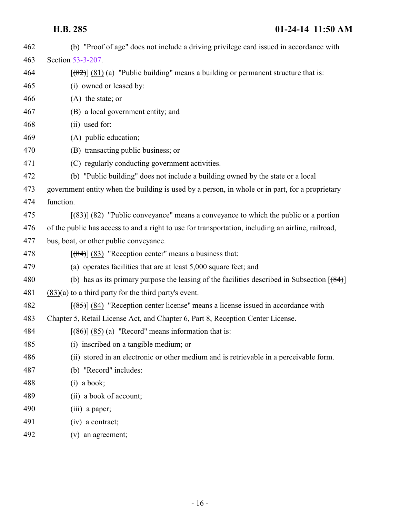| 462 | (b) "Proof of age" does not include a driving privilege card issued in accordance with             |
|-----|----------------------------------------------------------------------------------------------------|
| 463 | Section 53-3-207.                                                                                  |
| 464 | $[$ (82)] (81) (a) "Public building" means a building or permanent structure that is:              |
| 465 | (i) owned or leased by:                                                                            |
| 466 | $(A)$ the state; or                                                                                |
| 467 | (B) a local government entity; and                                                                 |
| 468 | (ii) used for:                                                                                     |
| 469 | (A) public education;                                                                              |
| 470 | (B) transacting public business; or                                                                |
| 471 | (C) regularly conducting government activities.                                                    |
| 472 | (b) "Public building" does not include a building owned by the state or a local                    |
| 473 | government entity when the building is used by a person, in whole or in part, for a proprietary    |
| 474 | function.                                                                                          |
| 475 | $[$ (83) $]$ (82) "Public conveyance" means a conveyance to which the public or a portion          |
| 476 | of the public has access to and a right to use for transportation, including an airline, railroad, |
| 477 | bus, boat, or other public conveyance.                                                             |
| 478 | $[ (84) ]$ (83) "Reception center" means a business that:                                          |
| 479 | (a) operates facilities that are at least 5,000 square feet; and                                   |
| 480 | (b) has as its primary purpose the leasing of the facilities described in Subsection $[$ (84)] $]$ |
| 481 | $(83)(a)$ to a third party for the third party's event.                                            |
| 482 | $[ (85) ]$ (84) "Reception center license" means a license issued in accordance with               |
| 483 | Chapter 5, Retail License Act, and Chapter 6, Part 8, Reception Center License.                    |
| 484 | $[\frac{(86)}{(85)}]$ (a) "Record" means information that is:                                      |
| 485 | (i) inscribed on a tangible medium; or                                                             |
| 486 | (ii) stored in an electronic or other medium and is retrievable in a perceivable form.             |
| 487 | (b) "Record" includes:                                                                             |
| 488 | $(i)$ a book;                                                                                      |
| 489 | (ii) a book of account;                                                                            |
| 490 | (iii) a paper;                                                                                     |
| 491 | $(iv)$ a contract;                                                                                 |
| 492 | (v) an agreement;                                                                                  |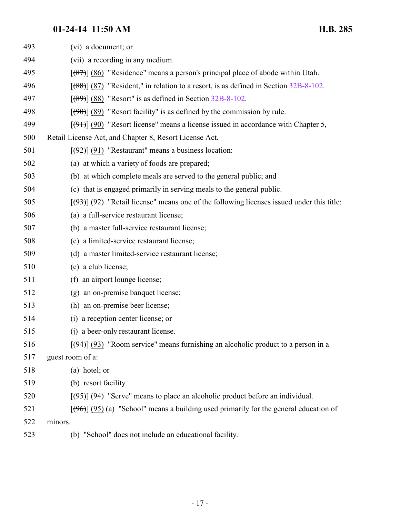| 493 | (vi) a document; or                                                                                |
|-----|----------------------------------------------------------------------------------------------------|
| 494 | (vii) a recording in any medium.                                                                   |
| 495 | $[$ (87) $]$ (86) "Residence" means a person's principal place of abode within Utah.               |
| 496 | $[ (88) ]$ (87) "Resident," in relation to a resort, is as defined in Section 32B-8-102.           |
| 497 | $[ (89) ]$ (88) "Resort" is as defined in Section 32B-8-102.                                       |
| 498 | $[\langle 90 \rangle]$ (89) "Resort facility" is as defined by the commission by rule.             |
| 499 | $[ (91) ]$ (90) "Resort license" means a license issued in accordance with Chapter 5,              |
| 500 | Retail License Act, and Chapter 8, Resort License Act.                                             |
| 501 | $[(92)]$ (91) "Restaurant" means a business location:                                              |
| 502 | (a) at which a variety of foods are prepared;                                                      |
| 503 | (b) at which complete meals are served to the general public; and                                  |
| 504 | (c) that is engaged primarily in serving meals to the general public.                              |
| 505 | $[ (93) ]$ (92) "Retail license" means one of the following licenses issued under this title:      |
| 506 | (a) a full-service restaurant license;                                                             |
| 507 | (b) a master full-service restaurant license;                                                      |
| 508 | (c) a limited-service restaurant license;                                                          |
| 509 | (d) a master limited-service restaurant license;                                                   |
| 510 | (e) a club license;                                                                                |
| 511 | (f) an airport lounge license;                                                                     |
| 512 | (g) an on-premise banquet license;                                                                 |
| 513 | (h) an on-premise beer license;                                                                    |
| 514 | (i) a reception center license; or                                                                 |
| 515 | (i) a beer-only restaurant license.                                                                |
| 516 | $[\frac{104}{100}]$ (93) "Room service" means furnishing an alcoholic product to a person in a     |
| 517 | guest room of a:                                                                                   |
| 518 | (a) hotel; or                                                                                      |
| 519 | (b) resort facility.                                                                               |
| 520 | $[ (95) ]$ (94) "Serve" means to place an alcoholic product before an individual.                  |
| 521 | $[\frac{100}{100}]$ (95) (a) "School" means a building used primarily for the general education of |
| 522 | minors.                                                                                            |
| 523 | (b) "School" does not include an educational facility.                                             |
|     |                                                                                                    |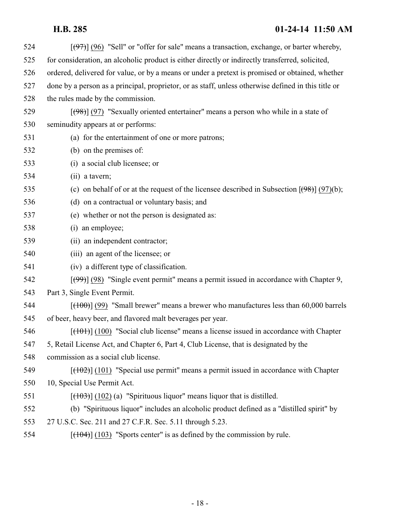| 524 | $[ (97) ]$ (96) "Sell" or "offer for sale" means a transaction, exchange, or barter whereby,              |
|-----|-----------------------------------------------------------------------------------------------------------|
| 525 | for consideration, an alcoholic product is either directly or indirectly transferred, solicited,          |
| 526 | ordered, delivered for value, or by a means or under a pretext is promised or obtained, whether           |
| 527 | done by a person as a principal, proprietor, or as staff, unless otherwise defined in this title or       |
| 528 | the rules made by the commission.                                                                         |
| 529 | $[ (98) ]$ (97) "Sexually oriented entertainer" means a person who while in a state of                    |
| 530 | seminudity appears at or performs:                                                                        |
| 531 | (a) for the entertainment of one or more patrons;                                                         |
| 532 | (b) on the premises of:                                                                                   |
| 533 | (i) a social club licensee; or                                                                            |
| 534 | (ii) a tavern;                                                                                            |
| 535 | (c) on behalf of or at the request of the licensee described in Subsection $[\frac{(98)}{(97)}]$ (97)(b); |
| 536 | (d) on a contractual or voluntary basis; and                                                              |
| 537 | (e) whether or not the person is designated as:                                                           |
| 538 | (i) an employee;                                                                                          |
| 539 | (ii) an independent contractor;                                                                           |
| 540 | (iii) an agent of the licensee; or                                                                        |
| 541 | (iv) a different type of classification.                                                                  |
| 542 | $[\frac{(99)}{(98)}]$ "Single event permit" means a permit issued in accordance with Chapter 9,           |
| 543 | Part 3, Single Event Permit.                                                                              |
| 544 | $[ (100) ]$ (99) "Small brewer" means a brewer who manufactures less than 60,000 barrels                  |
| 545 | of beer, heavy beer, and flavored malt beverages per year.                                                |
| 546 | $[\frac{(101)}{(100)}]$ "Social club license" means a license issued in accordance with Chapter           |
| 547 | 5, Retail License Act, and Chapter 6, Part 4, Club License, that is designated by the                     |
| 548 | commission as a social club license.                                                                      |
| 549 | $[ (102) ]$ (101) "Special use permit" means a permit issued in accordance with Chapter                   |
| 550 | 10, Special Use Permit Act.                                                                               |
| 551 | $[ (102) (a)$ "Spirituous liquor" means liquor that is distilled.                                         |
| 552 | (b) "Spirituous liquor" includes an alcoholic product defined as a "distilled spirit" by                  |
| 553 | 27 U.S.C. Sec. 211 and 27 C.F.R. Sec. 5.11 through 5.23.                                                  |
|     |                                                                                                           |

554  $[(103)$  "Sports center" is as defined by the commission by rule.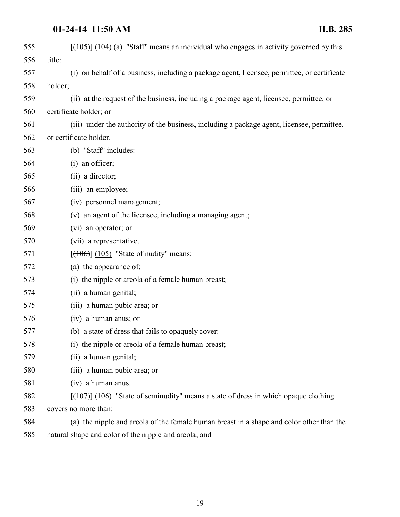| 555 | $[({105})]$ (104) (a) "Staff" means an individual who engages in activity governed by this  |
|-----|---------------------------------------------------------------------------------------------|
| 556 | title:                                                                                      |
| 557 | (i) on behalf of a business, including a package agent, licensee, permittee, or certificate |
| 558 | holder;                                                                                     |
| 559 | (ii) at the request of the business, including a package agent, licensee, permittee, or     |
| 560 | certificate holder; or                                                                      |
| 561 | (iii) under the authority of the business, including a package agent, licensee, permittee,  |
| 562 | or certificate holder.                                                                      |
| 563 | (b) "Staff" includes:                                                                       |
| 564 | (i) an officer;                                                                             |
| 565 | (ii) a director;                                                                            |
| 566 | (iii) an employee;                                                                          |
| 567 | (iv) personnel management;                                                                  |
| 568 | (v) an agent of the licensee, including a managing agent;                                   |
| 569 | (vi) an operator; or                                                                        |
| 570 | (vii) a representative.                                                                     |
| 571 | $[ (106) ] (105)$ "State of nudity" means:                                                  |
| 572 | (a) the appearance of:                                                                      |
| 573 | (i) the nipple or areola of a female human breast;                                          |
| 574 | (ii) a human genital;                                                                       |
| 575 | (iii) a human pubic area; or                                                                |
| 576 | (iv) a human anus; or                                                                       |
| 577 | (b) a state of dress that fails to opaquely cover:                                          |
| 578 | (i) the nipple or areola of a female human breast;                                          |
| 579 | (ii) a human genital;                                                                       |
| 580 | (iii) a human pubic area; or                                                                |
| 581 | (iv) a human anus.                                                                          |
| 582 | $[ (106)$ "State of seminudity" means a state of dress in which opaque clothing             |
| 583 | covers no more than:                                                                        |
| 584 | (a) the nipple and areola of the female human breast in a shape and color other than the    |
| 585 | natural shape and color of the nipple and areola; and                                       |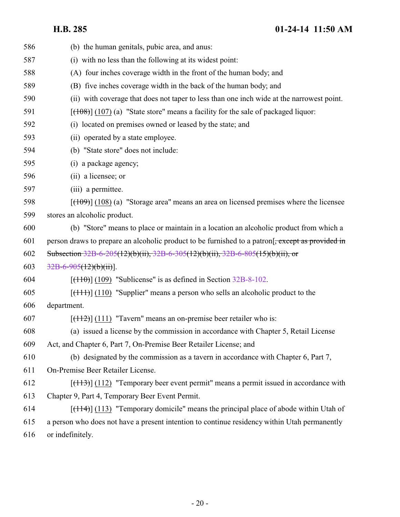| 586 | (b) the human genitals, pubic area, and anus:                                                   |
|-----|-------------------------------------------------------------------------------------------------|
| 587 | (i) with no less than the following at its widest point:                                        |
| 588 | (A) four inches coverage width in the front of the human body; and                              |
| 589 | (B) five inches coverage width in the back of the human body; and                               |
| 590 | (ii) with coverage that does not taper to less than one inch wide at the narrowest point.       |
| 591 | $[ (108) ] (107)$ (a) "State store" means a facility for the sale of packaged liquor:           |
| 592 | (i) located on premises owned or leased by the state; and                                       |
| 593 | (ii) operated by a state employee.                                                              |
| 594 | (b) "State store" does not include:                                                             |
| 595 | (i) a package agency;                                                                           |
| 596 | (ii) a licensee; or                                                                             |
| 597 | (iii) a permittee.                                                                              |
| 598 | $[ (109) ] (108)$ (a) "Storage area" means an area on licensed premises where the licensee      |
| 599 | stores an alcoholic product.                                                                    |
| 600 | (b) "Store" means to place or maintain in a location an alcoholic product from which a          |
| 601 | person draws to prepare an alcoholic product to be furnished to a patron. except as provided in |
| 602 | Subsection 32B-6-205(12)(b)(ii), 32B-6-305(12)(b)(ii), 32B-6-805(15)(b)(ii), or                 |
| 603 | $32B-6-905(12)(b)(ii)$ .                                                                        |
| 604 | $[ (110) ] (109)$ "Sublicense" is as defined in Section 32B-8-102.                              |
| 605 | $[$ (110) "Supplier" means a person who sells an alcoholic product to the                       |
| 606 | department.                                                                                     |
| 607 | $[ (112) ]$ (111) "Tavern" means an on-premise beer retailer who is:                            |
| 608 | (a) issued a license by the commission in accordance with Chapter 5, Retail License             |
| 609 | Act, and Chapter 6, Part 7, On-Premise Beer Retailer License; and                               |
| 610 | (b) designated by the commission as a tavern in accordance with Chapter 6, Part 7,              |
| 611 | On-Premise Beer Retailer License.                                                               |
| 612 | $[ (113) ] (112)$ "Temporary beer event permit" means a permit issued in accordance with        |
| 613 | Chapter 9, Part 4, Temporary Beer Event Permit.                                                 |
| 614 | $[ (114) ]$ (113) "Temporary domicile" means the principal place of abode within Utah of        |
| 615 | a person who does not have a present intention to continue residency within Utah permanently    |
| 616 | or indefinitely.                                                                                |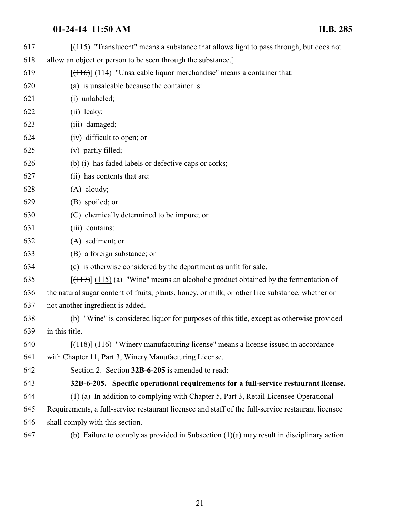<span id="page-20-0"></span>

| 617 | $[ (115)$ "Translucent" means a substance that allows light to pass through, but does not          |
|-----|----------------------------------------------------------------------------------------------------|
| 618 | allow an object or person to be seen through the substance.]                                       |
| 619 | $[ (116) ] (114)$ "Unsaleable liquor merchandise" means a container that:                          |
| 620 | (a) is unsaleable because the container is:                                                        |
| 621 | (i) unlabeled;                                                                                     |
| 622 | (ii) leaky;                                                                                        |
| 623 | (iii) damaged;                                                                                     |
| 624 | (iv) difficult to open; or                                                                         |
| 625 | (v) partly filled;                                                                                 |
| 626 | (b) (i) has faded labels or defective caps or corks;                                               |
| 627 | (ii) has contents that are:                                                                        |
| 628 | $(A)$ cloudy;                                                                                      |
| 629 | (B) spoiled; or                                                                                    |
| 630 | (C) chemically determined to be impure; or                                                         |
| 631 | (iii) contains:                                                                                    |
| 632 | (A) sediment; or                                                                                   |
| 633 | (B) a foreign substance; or                                                                        |
| 634 | (c) is otherwise considered by the department as unfit for sale.                                   |
| 635 | $[ (117) ]$ (115) (a) "Wine" means an alcoholic product obtained by the fermentation of            |
| 636 | the natural sugar content of fruits, plants, honey, or milk, or other like substance, whether or   |
| 637 | not another ingredient is added.                                                                   |
| 638 | (b) "Wine" is considered liquor for purposes of this title, except as otherwise provided           |
| 639 | in this title.                                                                                     |
| 640 | $[ (118) ]$ (116) "Winery manufacturing license" means a license issued in accordance              |
| 641 | with Chapter 11, Part 3, Winery Manufacturing License.                                             |
| 642 | Section 2. Section 32B-6-205 is amended to read:                                                   |
| 643 | 32B-6-205. Specific operational requirements for a full-service restaurant license.                |
| 644 | (1) (a) In addition to complying with Chapter 5, Part 3, Retail Licensee Operational               |
| 645 | Requirements, a full-service restaurant licensee and staff of the full-service restaurant licensee |
| 646 | shall comply with this section.                                                                    |
| 647 | (b) Failure to comply as provided in Subsection $(1)(a)$ may result in disciplinary action         |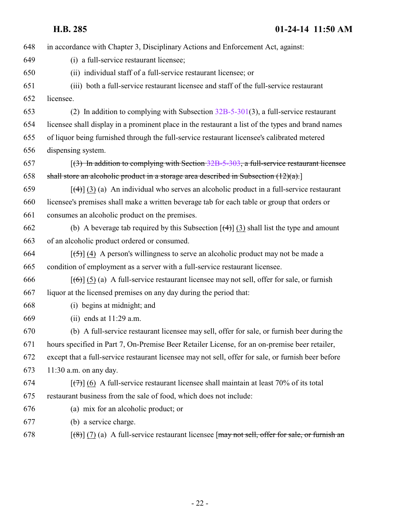| 648 | in accordance with Chapter 3, Disciplinary Actions and Enforcement Act, against:                                   |
|-----|--------------------------------------------------------------------------------------------------------------------|
| 649 | (i) a full-service restaurant licensee;                                                                            |
| 650 | (ii) individual staff of a full-service restaurant licensee; or                                                    |
| 651 | (iii) both a full-service restaurant licensee and staff of the full-service restaurant                             |
| 652 | licensee.                                                                                                          |
| 653 | (2) In addition to complying with Subsection $32B-5-301(3)$ , a full-service restaurant                            |
| 654 | licensee shall display in a prominent place in the restaurant a list of the types and brand names                  |
| 655 | of liquor being furnished through the full-service restaurant licensee's calibrated metered                        |
| 656 | dispensing system.                                                                                                 |
| 657 | $(3)$ In addition to complying with Section 32B-5-303, a full-service restaurant licensee                          |
| 658 | shall store an alcoholic product in a storage area described in Subsection $(12)(a)$ .                             |
| 659 | $[\frac{4}{3}]$ (3) (a) An individual who serves an alcoholic product in a full-service restaurant                 |
| 660 | licensee's premises shall make a written beverage tab for each table or group that orders or                       |
| 661 | consumes an alcoholic product on the premises.                                                                     |
| 662 | (b) A beverage tab required by this Subsection $\left[\frac{4}{3}\right]$ (3) shall list the type and amount       |
| 663 | of an alcoholic product ordered or consumed.                                                                       |
| 664 | $[\frac{1}{2}, \frac{1}{2}]$ (4) A person's willingness to serve an alcoholic product may not be made a            |
| 665 | condition of employment as a server with a full-service restaurant licensee.                                       |
| 666 | $[\text{f6}]$ (5) (a) A full-service restaurant licensee may not sell, offer for sale, or furnish                  |
| 667 | liquor at the licensed premises on any day during the period that:                                                 |
| 668 | (i) begins at midnight; and                                                                                        |
| 669 | (ii) ends at $11:29$ a.m.                                                                                          |
| 670 | (b) A full-service restaurant licensee may sell, offer for sale, or furnish beer during the                        |
| 671 | hours specified in Part 7, On-Premise Beer Retailer License, for an on-premise beer retailer,                      |
| 672 | except that a full-service restaurant licensee may not sell, offer for sale, or furnish beer before                |
| 673 | $11:30$ a.m. on any day.                                                                                           |
| 674 | $\left[\frac{7}{7}\right]$ (6) A full-service restaurant licensee shall maintain at least 70% of its total         |
| 675 | restaurant business from the sale of food, which does not include:                                                 |
| 676 | (a) mix for an alcoholic product; or                                                                               |
| 677 | (b) a service charge.                                                                                              |
| 678 | $\left[\frac{1}{6}\right]$ (7) (a) A full-service restaurant licensee [may not sell, offer for sale, or furnish an |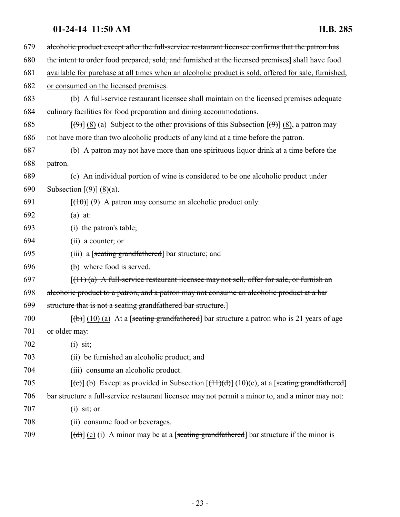| 679 | alcoholic product except after the full-service restaurant licensee confirms that the patron has                                                                                                                                                                                                                                                                                                                                                                                           |
|-----|--------------------------------------------------------------------------------------------------------------------------------------------------------------------------------------------------------------------------------------------------------------------------------------------------------------------------------------------------------------------------------------------------------------------------------------------------------------------------------------------|
| 680 | the intent to order food prepared, sold, and furnished at the licensed premises] shall have food                                                                                                                                                                                                                                                                                                                                                                                           |
| 681 | available for purchase at all times when an alcoholic product is sold, offered for sale, furnished,                                                                                                                                                                                                                                                                                                                                                                                        |
| 682 | or consumed on the licensed premises.                                                                                                                                                                                                                                                                                                                                                                                                                                                      |
| 683 | (b) A full-service restaurant licensee shall maintain on the licensed premises adequate                                                                                                                                                                                                                                                                                                                                                                                                    |
| 684 | culinary facilities for food preparation and dining accommodations.                                                                                                                                                                                                                                                                                                                                                                                                                        |
| 685 | $[\langle 9 \rangle]$ (8) (a) Subject to the other provisions of this Subsection $[\langle 9 \rangle]$ (8), a patron may                                                                                                                                                                                                                                                                                                                                                                   |
| 686 | not have more than two alcoholic products of any kind at a time before the patron.                                                                                                                                                                                                                                                                                                                                                                                                         |
| 687 | (b) A patron may not have more than one spirituous liquor drink at a time before the                                                                                                                                                                                                                                                                                                                                                                                                       |
| 688 | patron.                                                                                                                                                                                                                                                                                                                                                                                                                                                                                    |
| 689 | (c) An individual portion of wine is considered to be one alcoholic product under                                                                                                                                                                                                                                                                                                                                                                                                          |
| 690 | Subsection $\lceil (\frac{9}{2}) \rceil (8)(a)$ .                                                                                                                                                                                                                                                                                                                                                                                                                                          |
| 691 | $[\frac{100}{100}]$ (9) A patron may consume an alcoholic product only:                                                                                                                                                                                                                                                                                                                                                                                                                    |
| 692 | $(a)$ at:                                                                                                                                                                                                                                                                                                                                                                                                                                                                                  |
| 693 | (i) the patron's table;                                                                                                                                                                                                                                                                                                                                                                                                                                                                    |
| 694 | (ii) a counter; or                                                                                                                                                                                                                                                                                                                                                                                                                                                                         |
| 695 | (iii) a [seating grandfathered] bar structure; and                                                                                                                                                                                                                                                                                                                                                                                                                                         |
| 696 | (b) where food is served.                                                                                                                                                                                                                                                                                                                                                                                                                                                                  |
| 697 | $[(11)(a)$ A full-service restaurant licensee may not sell, offer for sale, or furnish an                                                                                                                                                                                                                                                                                                                                                                                                  |
| 698 | alcoholic product to a patron, and a patron may not consume an alcoholic product at a bar                                                                                                                                                                                                                                                                                                                                                                                                  |
| 699 | structure that is not a seating grandfathered bar structure.]                                                                                                                                                                                                                                                                                                                                                                                                                              |
| 700 | $[\phi]$ (10) (a) At a [seating grandfathered] bar structure a patron who is 21 years of age                                                                                                                                                                                                                                                                                                                                                                                               |
| 701 | or older may:                                                                                                                                                                                                                                                                                                                                                                                                                                                                              |
| 702 | $(i)$ sit;                                                                                                                                                                                                                                                                                                                                                                                                                                                                                 |
| 703 | (ii) be furnished an alcoholic product; and                                                                                                                                                                                                                                                                                                                                                                                                                                                |
| 704 | (iii) consume an alcoholic product.                                                                                                                                                                                                                                                                                                                                                                                                                                                        |
| 705 | $[\text{e}(\text{e})]$ (b) Except as provided in Subsection $[\text{f}(\text{f}(\text{f}))](10)(c)$ , at a [seating grandfathered]                                                                                                                                                                                                                                                                                                                                                         |
| 706 | bar structure a full-service restaurant licensee may not permit a minor to, and a minor may not:                                                                                                                                                                                                                                                                                                                                                                                           |
| 707 | $(i)$ sit; or                                                                                                                                                                                                                                                                                                                                                                                                                                                                              |
| 708 | (ii) consume food or beverages.                                                                                                                                                                                                                                                                                                                                                                                                                                                            |
| 709 | $[\text{d} \cdot \text{d} \cdot \text{d} \cdot \text{d} \cdot \text{d} \cdot \text{d} \cdot \text{d} \cdot \text{d} \cdot \text{d} \cdot \text{d} \cdot \text{d} \cdot \text{d} \cdot \text{d} \cdot \text{d} \cdot \text{d} \cdot \text{d} \cdot \text{d} \cdot \text{d} \cdot \text{d} \cdot \text{d} \cdot \text{d} \cdot \text{d} \cdot \text{d} \cdot \text{d} \cdot \text{d} \cdot \text{d} \cdot \text{d} \cdot \text{d} \cdot \text{d} \cdot \text{d} \cdot \text{d} \cdot \text{$ |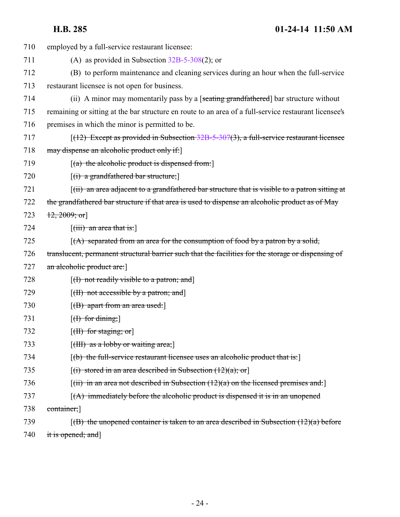| 710 | employed by a full-service restaurant licensee:                                                       |
|-----|-------------------------------------------------------------------------------------------------------|
| 711 | (A) as provided in Subsection $32B-5-308(2)$ ; or                                                     |
| 712 | (B) to perform maintenance and cleaning services during an hour when the full-service                 |
| 713 | restaurant licensee is not open for business.                                                         |
| 714 | (ii) A minor may momentarily pass by a [seating grandfathered] bar structure without                  |
| 715 | remaining or sitting at the bar structure en route to an area of a full-service restaurant licensee's |
| 716 | premises in which the minor is permitted to be.                                                       |
| 717 | $[(12)$ Except as provided in Subsection 32B-5-307(3), a full-service restaurant licensee             |
| 718 | may dispense an alcoholic product only if:                                                            |
| 719 | $[(a)$ the alcoholic product is dispensed from:                                                       |
| 720 | $[(i)$ a grandfathered bar structure;                                                                 |
| 721 | $(iii)$ an area adjacent to a grandfathered bar structure that is visible to a patron sitting at      |
| 722 | the grandfathered bar structure if that area is used to dispense an alcoholic product as of May       |
| 723 | $\{12, 2009, \text{or}\}$                                                                             |
| 724 | $\left[$ (iii) an area that is:                                                                       |
| 725 | $(A)$ separated from an area for the consumption of food by a patron by a solid,                      |
| 726 | translucent, permanent structural barrier such that the facilities for the storage or dispensing of   |
| 727 | an alcoholic product are:                                                                             |
| 728 | $[(1)$ not readily visible to a patron; and                                                           |
| 729 | $[\text{(H) not accessible by a patron; and}]$                                                        |
| 730 | $[({\rm B})$ apart from an area used:                                                                 |
| 731 | $[f]$ for dining;                                                                                     |
| 732 | $[\text{H}\text{]}$ for staging; or]                                                                  |
| 733 | $[\text{(HH)}$ as a lobby or waiting area;                                                            |
| 734 | $\lceil$ (b) the full-service restaurant licensee uses an alcoholic product that is:                  |
| 735 | $[(i)$ stored in an area described in Subsection $(12)(a)$ ; or                                       |
| 736 | $\lceil$ (ii) in an area not described in Subsection (12)(a) on the licensed premises and:            |
| 737 | $\left[\right(A)$ immediately before the alcoholic product is dispensed it is in an unopened          |
| 738 | container;                                                                                            |
| 739 | $(6)$ the unopened container is taken to an area described in Subsection $(12)(a)$ before             |
| 740 | it is opened; and]                                                                                    |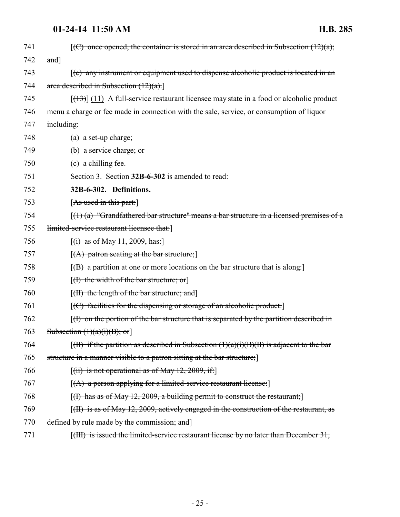<span id="page-24-0"></span>

| 741 | $\overline{f(C)}$ once opened, the container is stored in an area described in Subsection $(12)(a)$ ; |
|-----|-------------------------------------------------------------------------------------------------------|
| 742 | and]                                                                                                  |
| 743 | $(c)$ any instrument or equipment used to dispense alcoholic product is located in an                 |
| 744 | area described in Subsection $(12)(a)$ .                                                              |
| 745 | $[ (13) ]$ (11) A full-service restaurant licensee may state in a food or alcoholic product           |
| 746 | menu a charge or fee made in connection with the sale, service, or consumption of liquor              |
| 747 | including:                                                                                            |
| 748 | (a) a set-up charge;                                                                                  |
| 749 | (b) a service charge; or                                                                              |
| 750 | (c) a chilling fee.                                                                                   |
| 751 | Section 3. Section 32B-6-302 is amended to read:                                                      |
| 752 | 32B-6-302. Definitions.                                                                               |
| 753 | [As used in this part.]                                                                               |
| 754 | $(1)$ (a) "Grandfathered bar structure" means a bar structure in a licensed premises of a             |
| 755 | limited-service restaurant licensee that:                                                             |
| 756 | $[(i)$ as of May 11, 2009, has:                                                                       |
| 757 | $[(A)$ patron seating at the bar structure;                                                           |
| 758 | [(B) a partition at one or more locations on the bar structure that is along:]                        |
| 759 | $[(1)$ the width of the bar structure; or                                                             |
| 760 | [ <del>(II) the length of the bar structure; and</del> ]                                              |
| 761 | $[$ (C) facilities for the dispensing or storage of an alcoholic product:                             |
| 762 | $(t)$ on the portion of the bar structure that is separated by the partition described in             |
| 763 | Subsection $(1)(a)(i)(B)$ ; or]                                                                       |
| 764 | $[(\text{H})$ if the partition as described in Subsection $(1)(a)(i)(B)(H)$ is adjacent to the bar    |
| 765 | structure in a manner visible to a patron sitting at the bar structure;                               |
| 766 | $[(iii)$ is not operational as of May 12, 2009, if:                                                   |
| 767 | $[(A)$ a person applying for a limited-service restaurant license:                                    |
| 768 | $[(1)$ has as of May 12, 2009, a building permit to construct the restaurant;                         |
| 769 | [(II) is as of May 12, 2009, actively engaged in the construction of the restaurant, as               |
| 770 | defined by rule made by the commission; and                                                           |
| 771 | $[(H)]$ is issued the limited-service restaurant license by no later than December 31,                |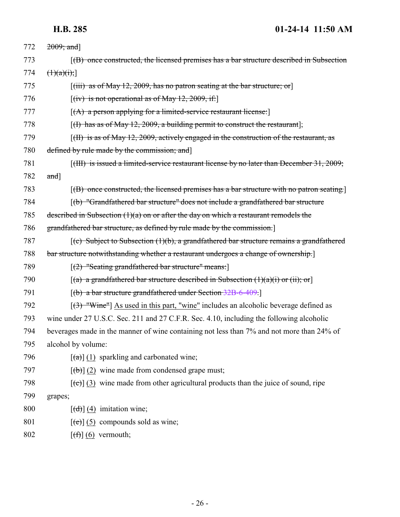| 772 | $2009;$ and]                                                                                                  |
|-----|---------------------------------------------------------------------------------------------------------------|
| 773 | $(6)$ once constructed, the licensed premises has a bar structure described in Subsection                     |
| 774 | $(\frac{1}{a})(\pi)$                                                                                          |
| 775 | $[(iii)$ as of May 12, 2009, has no patron seating at the bar structure; or                                   |
| 776 | $[(iv)$ is not operational as of May 12, 2009, if:                                                            |
| 777 | $[(A)$ a person applying for a limited-service restaurant license:                                            |
| 778 | $[(1)$ has as of May 12, 2009, a building permit to construct the restaurant];                                |
| 779 | $\lceil$ (H) is as of May 12, 2009, actively engaged in the construction of the restaurant, as                |
| 780 | defined by rule made by the commission; and                                                                   |
| 781 | $[({\text{HH}})$ is issued a limited-service restaurant license by no later than December 31, 2009;           |
| 782 | and]                                                                                                          |
| 783 | $[(B)$ once constructed, the licensed premises has a bar structure with no patron seating.                    |
| 784 | [(b) "Grandfathered bar structure" does not include a grandfathered bar structure                             |
| 785 | described in Subsection $(1)(a)$ on or after the day on which a restaurant remodels the                       |
| 786 | grandfathered bar structure, as defined by rule made by the commission.                                       |
| 787 | $\left[\text{(c)}\right]$ Subject to Subsection (1)(b), a grandfathered bar structure remains a grandfathered |
| 788 | bar structure notwithstanding whether a restaurant undergoes a change of ownership.]                          |
| 789 | $[(2)$ "Seating grandfathered bar structure" means:                                                           |
| 790 | $[(a)$ a grandfathered bar structure described in Subsection $(1)(a)(i)$ or $(ii);$ or                        |
| 791 | [(b) a bar structure grandfathered under Section 32B-6-409.]                                                  |
| 792 | $[(3)$ "Wine"] As used in this part, "wine" includes an alcoholic beverage defined as                         |
| 793 | wine under 27 U.S.C. Sec. 211 and 27 C.F.R. Sec. 4.10, including the following alcoholic                      |
| 794 | beverages made in the manner of wine containing not less than 7% and not more than 24% of                     |
| 795 | alcohol by volume:                                                                                            |
| 796 | $\left[\frac{a}{a}\right]$ (1) sparkling and carbonated wine;                                                 |
| 797 | $[\theta$ ) (2) wine made from condensed grape must;                                                          |
| 798 | $[\text{e}(\epsilon)]$ (3) wine made from other agricultural products than the juice of sound, ripe           |
| 799 | grapes;                                                                                                       |
| 800 | $\left[\left(\frac{d}{d}\right)\right]$ (4) imitation wine;                                                   |
| 801 | $[\text{e}(\text{e})]$ (5) compounds sold as wine;                                                            |
| 802 | $[\left(\frac{f}{f}\right)](6)$ vermouth;                                                                     |
|     |                                                                                                               |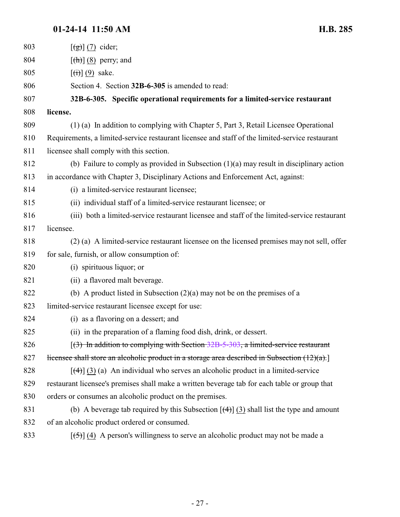<span id="page-26-0"></span>

| 803 | $[\frac{1}{2}](7)$ cider;                                                                               |
|-----|---------------------------------------------------------------------------------------------------------|
| 804 | $\left[\frac{h}{\hbar}\right]$ (8) perry; and                                                           |
| 805 | $[\left(\mathbf{\hat{i}}\right)](9)$ sake.                                                              |
| 806 | Section 4. Section 32B-6-305 is amended to read:                                                        |
| 807 | 32B-6-305. Specific operational requirements for a limited-service restaurant                           |
| 808 | license.                                                                                                |
| 809 | (1) (a) In addition to complying with Chapter 5, Part 3, Retail Licensee Operational                    |
| 810 | Requirements, a limited-service restaurant licensee and staff of the limited-service restaurant         |
| 811 | licensee shall comply with this section.                                                                |
| 812 | (b) Failure to comply as provided in Subsection $(1)(a)$ may result in disciplinary action              |
| 813 | in accordance with Chapter 3, Disciplinary Actions and Enforcement Act, against:                        |
| 814 | (i) a limited-service restaurant licensee;                                                              |
| 815 | (ii) individual staff of a limited-service restaurant licensee; or                                      |
| 816 | (iii) both a limited-service restaurant licensee and staff of the limited-service restaurant            |
| 817 | licensee.                                                                                               |
| 818 | (2) (a) A limited-service restaurant licensee on the licensed premises may not sell, offer              |
| 819 | for sale, furnish, or allow consumption of:                                                             |
| 820 | (i) spirituous liquor; or                                                                               |
| 821 | (ii) a flavored malt beverage.                                                                          |
| 822 | (b) A product listed in Subsection $(2)(a)$ may not be on the premises of a                             |
| 823 | limited-service restaurant licensee except for use:                                                     |
| 824 | (i) as a flavoring on a dessert; and                                                                    |
| 825 | (ii) in the preparation of a flaming food dish, drink, or dessert.                                      |
| 826 | $(3)$ In addition to complying with Section 32B-5-303, a limited-service restaurant                     |
| 827 | licensee shall store an alcoholic product in a storage area described in Subsection $(12)(a)$ .         |
| 828 | $[\frac{4}{3}]$ (3) (a) An individual who serves an alcoholic product in a limited-service              |
| 829 | restaurant licensee's premises shall make a written beverage tab for each table or group that           |
| 830 | orders or consumes an alcoholic product on the premises.                                                |
| 831 | (b) A beverage tab required by this Subsection $[\left(4\right)]$ (3) shall list the type and amount    |
| 832 | of an alcoholic product ordered or consumed.                                                            |
| 833 | $[\frac{1}{2}, \frac{1}{2}]$ (4) A person's willingness to serve an alcoholic product may not be made a |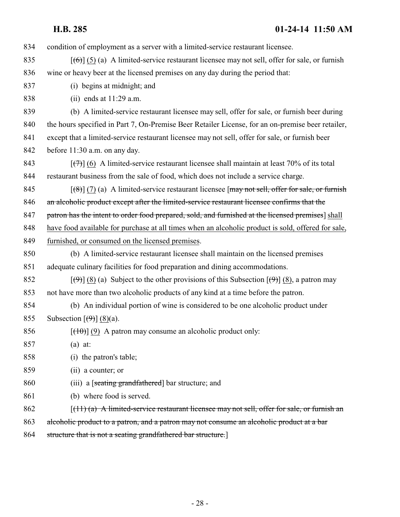condition of employment as a server with a limited-service restaurant licensee.

- 835  $[(6)] (5) (a)$  A limited-service restaurant licensee may not sell, offer for sale, or furnish wine or heavy beer at the licensed premises on any day during the period that:
- (i) begins at midnight; and
- (ii) ends at 11:29 a.m.

 (b) A limited-service restaurant licensee may sell, offer for sale, or furnish beer during 840 the hours specified in Part 7, On-Premise Beer Retailer License, for an on-premise beer retailer, except that a limited-service restaurant licensee may not sell, offer for sale, or furnish beer before 11:30 a.m. on any day.

843  $\left[\left(\frac{7}{7}\right)\right]$  (6) A limited-service restaurant licensee shall maintain at least 70% of its total restaurant business from the sale of food, which does not include a service charge.

845  $[(8)] (7) (a)$  A limited-service restaurant licensee  $[\text{may not sell}, \text{offer for sale}, \text{or furnish}]$ an alcoholic product except after the limited-service restaurant licensee confirms that the

847 patron has the intent to order food prepared, sold, and furnished at the licensed premises] shall

have food available for purchase at all times when an alcoholic product is sold, offered for sale,

- furnished, or consumed on the licensed premises.
- (b) A limited-service restaurant licensee shall maintain on the licensed premises adequate culinary facilities for food preparation and dining accommodations.
- 852 [(9)] (8) (a) Subject to the other provisions of this Subsection  $[\Theta]$  (8), a patron may not have more than two alcoholic products of any kind at a time before the patron.
- (b) An individual portion of wine is considered to be one alcoholic product under 855 Subsection  $\left[\left(\frac{9}{9}\right)\right]$  (8)(a).
- 856  $[(10)(9)$  A patron may consume an alcoholic product only:
- (a) at:
- (i) the patron's table;
- (ii) a counter; or
- 860 (iii) a [seating grandfathered] bar structure; and
- (b) where food is served.

[(11) (a) A limited-service restaurant licensee may not sell, offer for sale, or furnish an

863 alcoholic product to a patron, and a patron may not consume an alcoholic product at a bar

864 structure that is not a seating grandfathered bar structure.]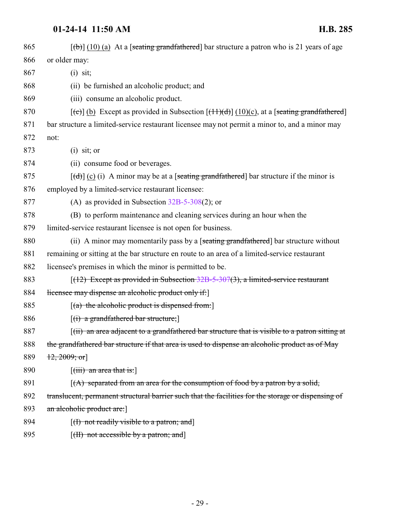| 865 | $[\phi]$ (10) (a) At a [seating grandfathered] bar structure a patron who is 21 years of age               |
|-----|------------------------------------------------------------------------------------------------------------|
| 866 | or older may:                                                                                              |
| 867 | $(i)$ sit;                                                                                                 |
| 868 | (ii) be furnished an alcoholic product; and                                                                |
| 869 | (iii) consume an alcoholic product.                                                                        |
| 870 | $[\text{(-c)}]$ (b) Except as provided in Subsection $[\text{(+1)}]$ (10)(c), at a [seating grandfathered] |
| 871 | bar structure a limited-service restaurant licensee may not permit a minor to, and a minor may             |
| 872 | not:                                                                                                       |
| 873 | $(i)$ sit; or                                                                                              |
| 874 | (ii) consume food or beverages.                                                                            |
| 875 | $[\text{(\text{d})}]$ (c) (i) A minor may be at a [seating grandfathered] bar structure if the minor is    |
| 876 | employed by a limited-service restaurant licensee:                                                         |
| 877 | (A) as provided in Subsection $32B-5-308(2)$ ; or                                                          |
| 878 | (B) to perform maintenance and cleaning services during an hour when the                                   |
| 879 | limited-service restaurant licensee is not open for business.                                              |
| 880 | (ii) A minor may momentarily pass by a [seating grandfathered] bar structure without                       |
| 881 | remaining or sitting at the bar structure en route to an area of a limited-service restaurant              |
| 882 | licensee's premises in which the minor is permitted to be.                                                 |
| 883 | $(12)$ Except as provided in Subsection 32B-5-307(3), a limited-service restaurant                         |
| 884 | licensee may dispense an alcoholic product only if:                                                        |
| 885 | $[(a)$ the alcoholic product is dispensed from:                                                            |
| 886 | $[(i)$ a grandfathered bar structure;                                                                      |
| 887 | (ii) an area adjacent to a grandfathered bar structure that is visible to a patron sitting at              |
| 888 | the grandfathered bar structure if that area is used to dispense an alcoholic product as of May            |
| 889 | $\{12, 2009; \text{or}\}$                                                                                  |
| 890 | $\left[$ (iii) an area that is: $\right]$                                                                  |
| 891 | $(A)$ separated from an area for the consumption of food by a patron by a solid,                           |
| 892 | translucent, permanent structural barrier such that the facilities for the storage or dispensing of        |
| 893 | an alcoholic product are:                                                                                  |
| 894 | [(I) not readily visible to a patron; and]                                                                 |
| 895 | [ <del>(II) not accessible by a patron; and</del> ]                                                        |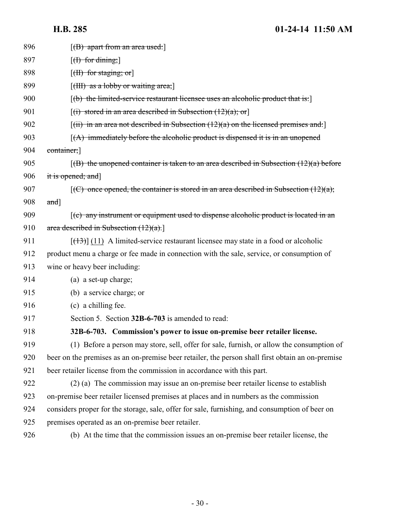<span id="page-29-0"></span>

| 896 | $[ B\rangle$ apart from an area used:                                                                     |
|-----|-----------------------------------------------------------------------------------------------------------|
| 897 | $[f]$ for dining;                                                                                         |
| 898 | $[\text{H}\rightarrow \text{for staying}; \text{or}]$                                                     |
| 899 | $[\text{(HH)}$ as a lobby or waiting area;                                                                |
| 900 | $(f(b))$ the limited-service restaurant licensee uses an alcoholic product that is:                       |
| 901 | $[(i)$ stored in an area described in Subsection $(12)(a)$ ; or                                           |
| 902 | $[(iii)$ in an area not described in Subsection $(12)(a)$ on the licensed premises and:                   |
| 903 | $(A)$ immediately before the alcoholic product is dispensed it is in an unopened                          |
| 904 | container;                                                                                                |
| 905 | $(6)$ the unopened container is taken to an area described in Subsection $(12)(a)$ before                 |
| 906 | it is opened; and]                                                                                        |
| 907 | $[(C)$ once opened, the container is stored in an area described in Subsection $(12)(a)$ ;                |
| 908 | $and$ ]                                                                                                   |
| 909 | $\left[\text{(c)}\right]$ any instrument or equipment used to dispense alcoholic product is located in an |
| 910 | area described in Subsection $(12)(a)$ .                                                                  |
| 911 | $[ (13) ] (11)$ A limited-service restaurant licensee may state in a food or alcoholic                    |
| 912 | product menu a charge or fee made in connection with the sale, service, or consumption of                 |
| 913 | wine or heavy beer including:                                                                             |
| 914 | (a) a set-up charge;                                                                                      |
| 915 | (b) a service charge; or                                                                                  |
| 916 | (c) a chilling fee.                                                                                       |
| 917 | Section 5. Section 32B-6-703 is amended to read:                                                          |
| 918 | 32B-6-703. Commission's power to issue on-premise beer retailer license.                                  |
| 919 | (1) Before a person may store, sell, offer for sale, furnish, or allow the consumption of                 |
| 920 | beer on the premises as an on-premise beer retailer, the person shall first obtain an on-premise          |
| 921 | beer retailer license from the commission in accordance with this part.                                   |
| 922 | (2) (a) The commission may issue an on-premise beer retailer license to establish                         |
| 923 | on-premise beer retailer licensed premises at places and in numbers as the commission                     |
| 924 | considers proper for the storage, sale, offer for sale, furnishing, and consumption of beer on            |
| 925 | premises operated as an on-premise beer retailer.                                                         |
| 926 | (b) At the time that the commission issues an on-premise beer retailer license, the                       |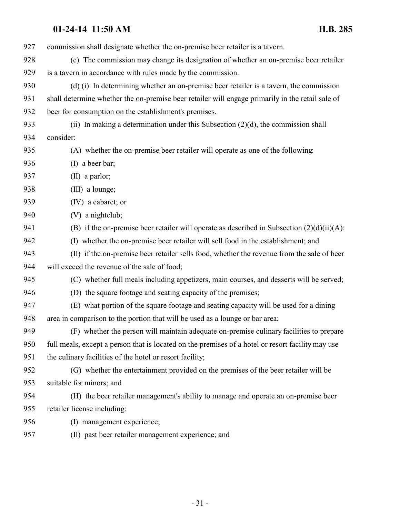- commission shall designate whether the on-premise beer retailer is a tavern.
- (c) The commission may change its designation of whether an on-premise beer retailer is a tavern in accordance with rules made by the commission.
- (d) (i) In determining whether an on-premise beer retailer is a tavern, the commission shall determine whether the on-premise beer retailer will engage primarily in the retail sale of beer for consumption on the establishment's premises.
- 933 (ii) In making a determination under this Subsection  $(2)(d)$ , the commission shall consider:
- (A) whether the on-premise beer retailer will operate as one of the following:
- (I) a beer bar;
- (II) a parlor;
- (III) a lounge;
- (IV) a cabaret; or
- (V) a nightclub;
- 941 (B) if the on-premise beer retailer will operate as described in Subsection  $(2)(d)(ii)(A)$ :
- (I) whether the on-premise beer retailer will sell food in the establishment; and
- (II) if the on-premise beer retailer sells food, whether the revenue from the sale of beer will exceed the revenue of the sale of food;
- (C) whether full meals including appetizers, main courses, and desserts will be served;
- (D) the square footage and seating capacity of the premises;
- (E) what portion of the square footage and seating capacity will be used for a dining area in comparison to the portion that will be used as a lounge or bar area;
- (F) whether the person will maintain adequate on-premise culinary facilities to prepare full meals, except a person that is located on the premises of a hotel or resort facility may use the culinary facilities of the hotel or resort facility;
- (G) whether the entertainment provided on the premises of the beer retailer will be suitable for minors; and
- (H) the beer retailer management's ability to manage and operate an on-premise beer retailer license including:
- (I) management experience;
- (II) past beer retailer management experience; and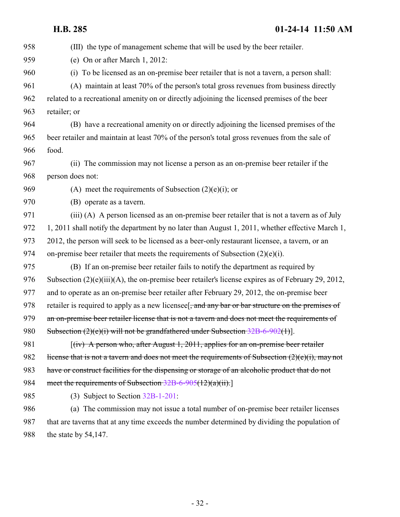(III) the type of management scheme that will be used by the beer retailer. (e) On or after March 1, 2012: (i) To be licensed as an on-premise beer retailer that is not a tavern, a person shall: (A) maintain at least 70% of the person's total gross revenues from business directly related to a recreational amenity on or directly adjoining the licensed premises of the beer retailer; or (B) have a recreational amenity on or directly adjoining the licensed premises of the beer retailer and maintain at least 70% of the person's total gross revenues from the sale of food. (ii) The commission may not license a person as an on-premise beer retailer if the person does not: 969 (A) meet the requirements of Subsection  $(2)(e)(i)$ ; or (B) operate as a tavern. (iii) (A) A person licensed as an on-premise beer retailer that is not a tavern as of July 972 1, 2011 shall notify the department by no later than August 1, 2011, whether effective March 1, 2012, the person will seek to be licensed as a beer-only restaurant licensee, a tavern, or an 974 on-premise beer retailer that meets the requirements of Subsection  $(2)(e)(i)$ . (B) If an on-premise beer retailer fails to notify the department as required by Subsection (2)(e)(iii)(A), the on-premise beer retailer's license expires as of February 29, 2012, and to operate as an on-premise beer retailer after February 29, 2012, the on-premise beer 978 retailer is required to apply as a new licensee<sup>[, and any bar or bar structure on the premises of</sup> 979 an on-premise beer retailer license that is not a tavern and does not meet the requirements of 980 Subsection (2)(e)(i) will not be grandfathered under Subsection [32B-6-902](http://le.utah.gov/UtahCode/SectionLookup.jsp?section=32b-6-902&session=2014GS)(1)]. 981 [(iv) A person who, after August 1, 2011, applies for an on-premise beer retailer 982 license that is not a tavern and does not meet the requirements of Subsection  $(2)(e)(i)$ , may not have or construct facilities for the dispensing or storage of an alcoholic product that do not 984 meet the requirements of Subsection [32B-6-905](#page-36-0)(12)(a)(ii).] (3) Subject to Section [32B-1-201](http://le.utah.gov/UtahCode/SectionLookup.jsp?section=32b-1-201&session=2014GS): (a) The commission may not issue a total number of on-premise beer retailer licenses that are taverns that at any time exceeds the number determined by dividing the population of the state by 54,147.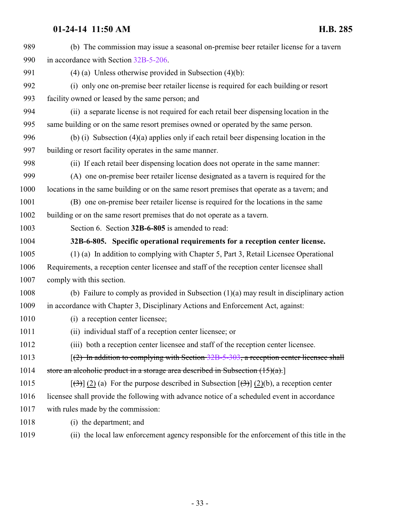<span id="page-32-0"></span>

| 989  | (b) The commission may issue a seasonal on-premise beer retailer license for a tavern                      |
|------|------------------------------------------------------------------------------------------------------------|
| 990  | in accordance with Section 32B-5-206.                                                                      |
| 991  | $(4)$ (a) Unless otherwise provided in Subsection $(4)(b)$ :                                               |
| 992  | (i) only one on-premise beer retailer license is required for each building or resort                      |
| 993  | facility owned or leased by the same person; and                                                           |
| 994  | (ii) a separate license is not required for each retail beer dispensing location in the                    |
| 995  | same building or on the same resort premises owned or operated by the same person.                         |
| 996  | (b) (i) Subsection $(4)(a)$ applies only if each retail beer dispensing location in the                    |
| 997  | building or resort facility operates in the same manner.                                                   |
| 998  | (ii) If each retail beer dispensing location does not operate in the same manner:                          |
| 999  | (A) one on-premise beer retailer license designated as a tavern is required for the                        |
| 1000 | locations in the same building or on the same resort premises that operate as a tavern; and                |
| 1001 | (B) one on-premise beer retailer license is required for the locations in the same                         |
| 1002 | building or on the same resort premises that do not operate as a tavern.                                   |
| 1003 | Section 6. Section 32B-6-805 is amended to read:                                                           |
| 1004 | 32B-6-805. Specific operational requirements for a reception center license.                               |
| 1005 | (1) (a) In addition to complying with Chapter 5, Part 3, Retail Licensee Operational                       |
| 1006 | Requirements, a reception center licensee and staff of the reception center licensee shall                 |
| 1007 | comply with this section.                                                                                  |
| 1008 | (b) Failure to comply as provided in Subsection $(1)(a)$ may result in disciplinary action                 |
| 1009 | in accordance with Chapter 3, Disciplinary Actions and Enforcement Act, against:                           |
| 1010 | (i) a reception center licensee;                                                                           |
| 1011 | (ii) individual staff of a reception center licensee; or                                                   |
| 1012 | (iii) both a reception center licensee and staff of the reception center licensee.                         |
| 1013 | $(2)$ In addition to complying with Section 32B-5-303, a reception center licensee shall                   |
| 1014 | store an alcoholic product in a storage area described in Subsection $(15)(a)$ .                           |
| 1015 | $[\frac{1}{2}]$ (2) (a) For the purpose described in Subsection $[\frac{1}{2}]$ (2)(b), a reception center |
| 1016 | licensee shall provide the following with advance notice of a scheduled event in accordance                |
| 1017 | with rules made by the commission:                                                                         |
| 1018 | (i) the department; and                                                                                    |
| 1019 | (ii) the local law enforcement agency responsible for the enforcement of this title in the                 |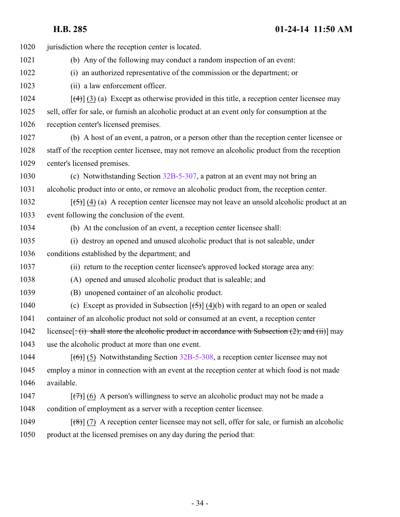1020 jurisdiction where the reception center is located. (b) Any of the following may conduct a random inspection of an event: (i) an authorized representative of the commission or the department; or (ii) a law enforcement officer.  $\left[\frac{(4)}{(3)}\right]$  (3) (a) Except as otherwise provided in this title, a reception center licensee may sell, offer for sale, or furnish an alcoholic product at an event only for consumption at the reception center's licensed premises. (b) A host of an event, a patron, or a person other than the reception center licensee or staff of the reception center licensee, may not remove an alcoholic product from the reception center's licensed premises. (c) Notwithstanding Section [32B-5-307](http://le.utah.gov/UtahCode/SectionLookup.jsp?section=32b-5-307&session=2014GS), a patron at an event may not bring an alcoholic product into or onto, or remove an alcoholic product from, the reception center.  $\left[\frac{(-5)}{4}\right]$  (4) (a) A reception center licensee may not leave an unsold alcoholic product at an event following the conclusion of the event. (b) At the conclusion of an event, a reception center licensee shall: (i) destroy an opened and unused alcoholic product that is not saleable, under conditions established by the department; and (ii) return to the reception center licensee's approved locked storage area any: (A) opened and unused alcoholic product that is saleable; and (B) unopened container of an alcoholic product. 1040 (c) Except as provided in Subsection  $[\frac{1}{2}] (4)(b)$  with regard to an open or sealed container of an alcoholic product not sold or consumed at an event, a reception center 1042 licensee  $[\div(i)]$  shall store the alcoholic product in accordance with Subsection (2); and (ii)] may use the alcoholic product at more than one event. 1044 [(6)] (5) Notwithstanding Section [32B-5-308](http://le.utah.gov/UtahCode/SectionLookup.jsp?section=32b-5-308&session=2014GS), a reception center licensee may not employ a minor in connection with an event at the reception center at which food is not made available.  $\lceil(\frac{7}{7})\rceil$  (6) A person's willingness to serve an alcoholic product may not be made a condition of employment as a server with a reception center licensee.  $\left[\left(\frac{8}{6}\right)\right]$  (7) A reception center licensee may not sell, offer for sale, or furnish an alcoholic product at the licensed premises on any day during the period that: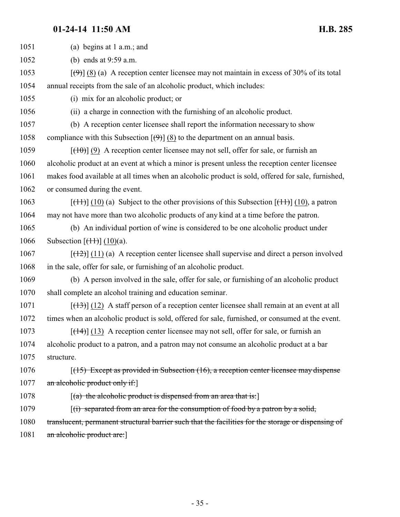1051 (a) begins at 1 a.m.; and

1052 (b) ends at 9:59 a.m.

1053  $\left[\left(\frac{9}{2}\right)\right]$  (8) (a) A reception center licensee may not maintain in excess of 30% of its total 1054 annual receipts from the sale of an alcoholic product, which includes:

1055 (i) mix for an alcoholic product; or

1056 (ii) a charge in connection with the furnishing of an alcoholic product.

1057 (b) A reception center licensee shall report the information necessary to show 1058 compliance with this Subsection  $[\Theta]$  (8) to the department on an annual basis.

1059  $[(10)$  (9) A reception center licensee may not sell, offer for sale, or furnish an

1060 alcoholic product at an event at which a minor is present unless the reception center licensee

1061 makes food available at all times when an alcoholic product is sold, offered for sale, furnished,

1062 or consumed during the event.

1063 [(11)] (10) (a) Subject to the other provisions of this Subsection  $[(11)(10)$ , a patron 1064 may not have more than two alcoholic products of any kind at a time before the patron.

1065 (b) An individual portion of wine is considered to be one alcoholic product under 1066 Subsection  $[ (11)] (10)(a)$ .

1067  $[(12)(11)(a)$  A reception center licensee shall supervise and direct a person involved 1068 in the sale, offer for sale, or furnishing of an alcoholic product.

1069 (b) A person involved in the sale, offer for sale, or furnishing of an alcoholic product 1070 shall complete an alcohol training and education seminar.

 $1071$  [ $(13)$ ] (12) A staff person of a reception center licensee shall remain at an event at all 1072 times when an alcoholic product is sold, offered for sale, furnished, or consumed at the event.

1073 [(14)] (13) A reception center licensee may not sell, offer for sale, or furnish an 1074 alcoholic product to a patron, and a patron may not consume an alcoholic product at a bar 1075 structure.

1076 [(15) Except as provided in Subsection (16), a reception center licensee may dispense 1077 an alcoholic product only if:

1078  $\left[ \frac{a}{b} \right]$  the alcoholic product is dispensed from an area that is:

1079 [(i) separated from an area for the consumption of food by a patron by a solid,

1080 translucent, permanent structural barrier such that the facilities for the storage or dispensing of

1081 an alcoholic product are: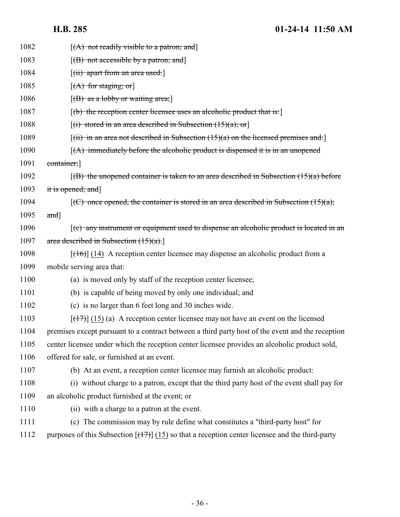| 1082 | $[(A)$ not readily visible to a patron; and                                                          |
|------|------------------------------------------------------------------------------------------------------|
| 1083 | $[(B)$ not accessible by a patron; and                                                               |
| 1084 | [ <del>(ii) apart from an area used:</del> ]                                                         |
| 1085 | $[(A)$ for staging; or                                                                               |
| 1086 | $[(B)$ as a lobby or waiting area;                                                                   |
| 1087 | [(b) the reception center licensee uses an alcoholic product that is:]                               |
| 1088 | $[(i)$ stored in an area described in Subsection $(15)(a)$ ; or                                      |
| 1089 | $\lceil$ (ii) in an area not described in Subsection (15)(a) on the licensed premises and:           |
| 1090 | $(A)$ immediately before the alcoholic product is dispensed it is in an unopened                     |
| 1091 | container;                                                                                           |
| 1092 | $(6)$ the unopened container is taken to an area described in Subsection $(15)(a)$ before            |
| 1093 | it is opened; and]                                                                                   |
| 1094 | $\overline{f(C)}$ once opened, the container is stored in an area described in Subsection (15)(a);   |
| 1095 | and]                                                                                                 |
| 1096 | $\mathfrak{f}(e)$ any instrument or equipment used to dispense an alcoholic product is located in an |
| 1097 | area described in Subsection $(15)(a)$ .                                                             |
| 1098 | $[ (16) ] (14)$ A reception center licensee may dispense an alcoholic product from a                 |
| 1099 | mobile serving area that:                                                                            |
| 1100 | (a) is moved only by staff of the reception center licensee;                                         |
| 1101 | (b) is capable of being moved by only one individual; and                                            |
| 1102 | (c) is no larger than 6 feet long and 30 inches wide.                                                |
| 1103 | $[ (17) ] (15)$ (a) A reception center licensee may not have an event on the licensed                |
| 1104 | premises except pursuant to a contract between a third party host of the event and the reception     |
| 1105 | center licensee under which the reception center licensee provides an alcoholic product sold,        |
| 1106 | offered for sale, or furnished at an event.                                                          |
| 1107 | (b) At an event, a reception center licensee may furnish an alcoholic product:                       |
| 1108 | (i) without charge to a patron, except that the third party host of the event shall pay for          |
| 1109 | an alcoholic product furnished at the event; or                                                      |
| 1110 | (ii) with a charge to a patron at the event.                                                         |
| 1111 | (c) The commission may by rule define what constitutes a "third-party host" for                      |
| 1112 | purposes of this Subsection $[(17)] (15)$ so that a reception center licensee and the third-party    |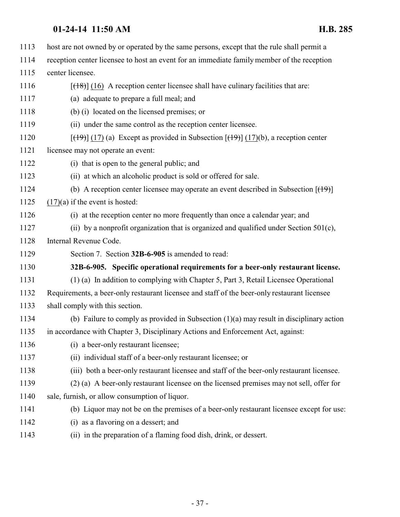<span id="page-36-0"></span>

| 1113 | host are not owned by or operated by the same persons, except that the rule shall permit a                                        |
|------|-----------------------------------------------------------------------------------------------------------------------------------|
| 1114 | reception center licensee to host an event for an immediate family member of the reception                                        |
| 1115 | center licensee.                                                                                                                  |
| 1116 | $[ (18) ]$ (16) A reception center licensee shall have culinary facilities that are:                                              |
| 1117 | (a) adequate to prepare a full meal; and                                                                                          |
| 1118 | (b) (i) located on the licensed premises; or                                                                                      |
| 1119 | (ii) under the same control as the reception center licensee.                                                                     |
| 1120 | $[\frac{(19)}{(17)}]$ (17) (a) Except as provided in Subsection $[\frac{(19)}{(17)}]$ (17)(b), a reception center                 |
| 1121 | licensee may not operate an event:                                                                                                |
| 1122 | (i) that is open to the general public; and                                                                                       |
| 1123 | (ii) at which an alcoholic product is sold or offered for sale.                                                                   |
| 1124 | (b) A reception center licensee may operate an event described in Subsection $[$ ( $\uparrow$ $\uparrow$ $\uparrow$ $\uparrow$ )] |
| 1125 | $(17)(a)$ if the event is hosted:                                                                                                 |
| 1126 | (i) at the reception center no more frequently than once a calendar year; and                                                     |
| 1127 | (ii) by a nonprofit organization that is organized and qualified under Section $501(c)$ ,                                         |
| 1128 | Internal Revenue Code.                                                                                                            |
| 1129 | Section 7. Section 32B-6-905 is amended to read:                                                                                  |
| 1130 | 32B-6-905. Specific operational requirements for a beer-only restaurant license.                                                  |
| 1131 | (1) (a) In addition to complying with Chapter 5, Part 3, Retail Licensee Operational                                              |
| 1132 | Requirements, a beer-only restaurant licensee and staff of the beer-only restaurant licensee                                      |
| 1133 | shall comply with this section.                                                                                                   |
| 1134 | (b) Failure to comply as provided in Subsection $(1)(a)$ may result in disciplinary action                                        |
| 1135 | in accordance with Chapter 3, Disciplinary Actions and Enforcement Act, against:                                                  |
| 1136 | (i) a beer-only restaurant licensee;                                                                                              |
| 1137 | (ii) individual staff of a beer-only restaurant licensee; or                                                                      |
| 1138 | (iii) both a beer-only restaurant licensee and staff of the beer-only restaurant licensee.                                        |
| 1139 | (2) (a) A beer-only restaurant licensee on the licensed premises may not sell, offer for                                          |
| 1140 | sale, furnish, or allow consumption of liquor.                                                                                    |
| 1141 | (b) Liquor may not be on the premises of a beer-only restaurant licensee except for use:                                          |
| 1142 | (i) as a flavoring on a dessert; and                                                                                              |
| 1143 | (ii) in the preparation of a flaming food dish, drink, or dessert.                                                                |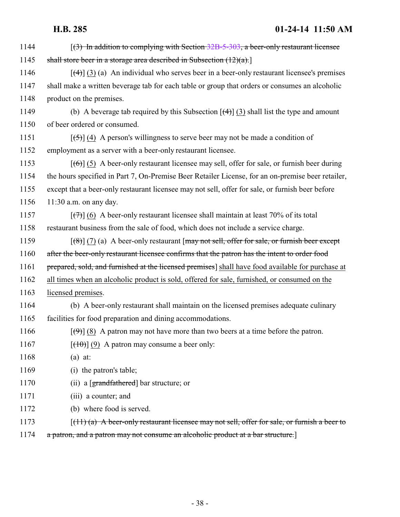| 1144 | $(3)$ In addition to complying with Section 32B-5-303, a beer-only restaurant licensee                       |
|------|--------------------------------------------------------------------------------------------------------------|
| 1145 | shall store beer in a storage area described in Subsection $(12)(a)$ .                                       |
| 1146 | $\lceil$ (4) (3) (a) An individual who serves beer in a beer-only restaurant licensee's premises             |
| 1147 | shall make a written beverage tab for each table or group that orders or consumes an alcoholic               |
| 1148 | product on the premises.                                                                                     |
| 1149 | (b) A beverage tab required by this Subsection $\left[\frac{4}{3}\right]$ (3) shall list the type and amount |
| 1150 | of beer ordered or consumed.                                                                                 |
| 1151 | $[\frac{5}{3}]$ (4) A person's willingness to serve beer may not be made a condition of                      |
| 1152 | employment as a server with a beer-only restaurant licensee.                                                 |
| 1153 | $[66]$ (5) A beer-only restaurant licensee may sell, offer for sale, or furnish beer during                  |
| 1154 | the hours specified in Part 7, On-Premise Beer Retailer License, for an on-premise beer retailer,            |
| 1155 | except that a beer-only restaurant licensee may not sell, offer for sale, or furnish beer before             |
| 1156 | $11:30$ a.m. on any day.                                                                                     |
| 1157 | $[\overline{(+)}]$ (6) A beer-only restaurant licensee shall maintain at least 70% of its total              |
| 1158 | restaurant business from the sale of food, which does not include a service charge.                          |
| 1159 | $\lceil (8) \rceil$ (7) (a) A beer-only restaurant [may not sell, offer for sale, or furnish beer except     |
| 1160 | after the beer-only restaurant licensee confirms that the patron has the intent to order food                |
| 1161 | prepared, sold, and furnished at the licensed premises] shall have food available for purchase at            |
| 1162 | all times when an alcoholic product is sold, offered for sale, furnished, or consumed on the                 |
| 1163 | licensed premises.                                                                                           |
| 1164 | (b) A beer-only restaurant shall maintain on the licensed premises adequate culinary                         |
| 1165 | facilities for food preparation and dining accommodations.                                                   |
| 1166 | $[\left(\frac{4}{2}\right)]$ (8) A patron may not have more than two beers at a time before the patron.      |
| 1167 | $[\frac{(10)}{(9)}$ A patron may consume a beer only:                                                        |
| 1168 | $(a)$ at:                                                                                                    |
| 1169 | (i) the patron's table;                                                                                      |
| 1170 | (ii) a $\lceil$ grandfathered $\lceil$ bar structure; or                                                     |
| 1171 | (iii) a counter; and                                                                                         |
| 1172 | (b) where food is served.                                                                                    |
| 1173 | $\lceil$ (11) (a) A beer-only restaurant licensee may not sell, offer for sale, or furnish a beer to         |
| 1174 | a patron, and a patron may not consume an alcoholic product at a bar structure.                              |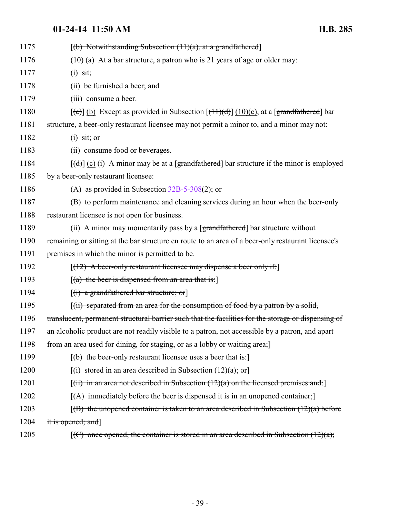| 1175 | $[(b)$ Notwithstanding Subsection $(11)(a)$ , at a grandfathered                                                       |
|------|------------------------------------------------------------------------------------------------------------------------|
| 1176 | $(10)$ (a) At a bar structure, a patron who is 21 years of age or older may:                                           |
| 1177 | $(i)$ sit;                                                                                                             |
| 1178 | (ii) be furnished a beer; and                                                                                          |
| 1179 | (iii) consume a beer.                                                                                                  |
| 1180 | $[\text{(\text{c})}]$ (b) Except as provided in Subsection $[\text{(\text{11})(d)}]$ (10)(c), at a [grandfathered] bar |
| 1181 | structure, a beer-only restaurant licensee may not permit a minor to, and a minor may not:                             |
| 1182 | $(i)$ sit; or                                                                                                          |
| 1183 | (ii) consume food or beverages.                                                                                        |
| 1184 | $[\text{d}(\text{d})]$ (c) (i) A minor may be at a [grandfathered] bar structure if the minor is employed              |
| 1185 | by a beer-only restaurant licensee:                                                                                    |
| 1186 | (A) as provided in Subsection $32B-5-308(2)$ ; or                                                                      |
| 1187 | (B) to perform maintenance and cleaning services during an hour when the beer-only                                     |
| 1188 | restaurant licensee is not open for business.                                                                          |
| 1189 | (ii) A minor may momentarily pass by a [grandfathered] bar structure without                                           |
| 1190 | remaining or sitting at the bar structure en route to an area of a beer-only restaurant licensee's                     |
| 1191 | premises in which the minor is permitted to be.                                                                        |
| 1192 | $[(12)$ A beer-only restaurant licensee may dispense a beer only if:                                                   |
| 1193 | $[(a)$ the beer is dispensed from an area that is:                                                                     |
| 1194 | $[(i)$ a grandfathered bar structure; or                                                                               |
| 1195 | $\left[\right(\text{ii})$ separated from an area for the consumption of food by a patron by a solid,                   |
| 1196 | translucent, permanent structural barrier such that the facilities for the storage or dispensing of                    |
| 1197 | an alcoholic product are not readily visible to a patron, not accessible by a patron, and apart                        |
| 1198 | from an area used for dining, for staging, or as a lobby or waiting area;                                              |
| 1199 | $[(b)$ the beer-only restaurant licensee uses a beer that is:                                                          |
| 1200 | $[(i)$ stored in an area described in Subsection $(12)(a)$ ; or                                                        |
| 1201 | $[(ii)$ in an area not described in Subsection $(12)(a)$ on the licensed premises and:                                 |
| 1202 | $[(A)$ immediately before the beer is dispensed it is in an unopened container;                                        |
| 1203 | $(6)$ the unopened container is taken to an area described in Subsection $(12)(a)$ before                              |
| 1204 | it is opened; and]                                                                                                     |
| 1205 | $[(C)$ once opened, the container is stored in an area described in Subsection $(12)(a)$ ;                             |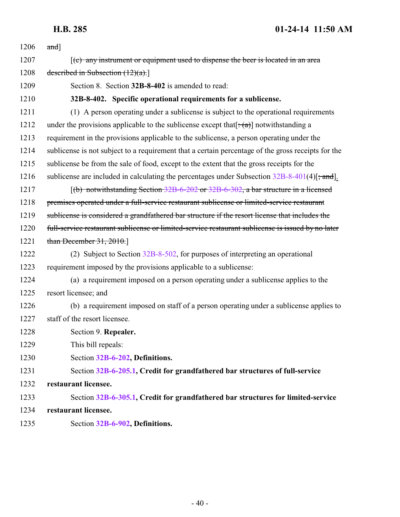<span id="page-39-0"></span>

| 1206 | and]                                                                                               |
|------|----------------------------------------------------------------------------------------------------|
| 1207 | $(c)$ any instrument or equipment used to dispense the beer is located in an area                  |
| 1208 | described in Subsection $(12)(a)$ .                                                                |
| 1209 | Section 8. Section 32B-8-402 is amended to read:                                                   |
| 1210 | 32B-8-402. Specific operational requirements for a sublicense.                                     |
| 1211 | (1) A person operating under a sublicense is subject to the operational requirements               |
| 1212 | under the provisions applicable to the sublicense except that $[\pm(\alpha)]$ notwithstanding a    |
| 1213 | requirement in the provisions applicable to the sublicense, a person operating under the           |
| 1214 | sublicense is not subject to a requirement that a certain percentage of the gross receipts for the |
| 1215 | sublicense be from the sale of food, except to the extent that the gross receipts for the          |
| 1216 | sublicense are included in calculating the percentages under Subsection $32B-8-401(4)$ ; and.      |
| 1217 | $(6)$ notwithstanding Section 32B-6-202 or 32B-6-302, a bar structure in a licensed                |
| 1218 | premises operated under a full-service restaurant sublicense or limited-service restaurant         |
| 1219 | sublicense is considered a grandfathered bar structure if the resort license that includes the     |
| 1220 | full-service restaurant sublicense or limited-service restaurant sublicense is issued by no later  |
| 1221 | than December $31, 2010$ .                                                                         |
| 1222 | (2) Subject to Section $32B-8-502$ , for purposes of interpreting an operational                   |
| 1223 | requirement imposed by the provisions applicable to a sublicense:                                  |
| 1224 | (a) a requirement imposed on a person operating under a sublicense applies to the                  |
| 1225 | resort licensee; and                                                                               |
| 1226 | (b) a requirement imposed on staff of a person operating under a sublicense applies to             |
| 1227 | staff of the resort licensee.                                                                      |
| 1228 | Section 9. Repealer.                                                                               |
| 1229 | This bill repeals:                                                                                 |
| 1230 | Section 32B-6-202, Definitions.                                                                    |
| 1231 | Section 32B-6-205.1, Credit for grandfathered bar structures of full-service                       |
| 1232 | restaurant licensee.                                                                               |
| 1233 | Section 32B-6-305.1, Credit for grandfathered bar structures for limited-service                   |
| 1234 | restaurant licensee.                                                                               |
| 1235 | Section 32B-6-902, Definitions.                                                                    |